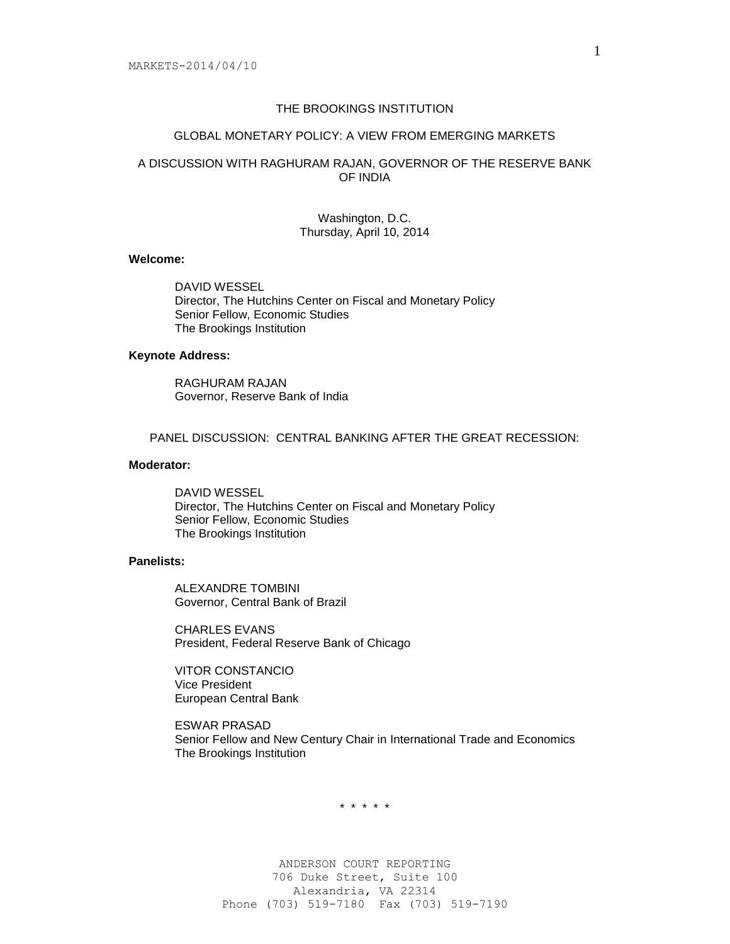# THE BROOKINGS INSTITUTION

#### GLOBAL MONETARY POLICY: A VIEW FROM EMERGING MARKETS

# A DISCUSSION WITH RAGHURAM RAJAN, GOVERNOR OF THE RESERVE BANK OF INDIA

#### Washington, D.C. Thursday, April 10, 2014

# **Welcome:**

DAVID WESSEL Director, The Hutchins Center on Fiscal and Monetary Policy Senior Fellow, Economic Studies The Brookings Institution

#### **Keynote Address:**

RAGHURAM RAJAN Governor, Reserve Bank of India

PANEL DISCUSSION: CENTRAL BANKING AFTER THE GREAT RECESSION:

## **Moderator:**

DAVID WESSEL Director, The Hutchins Center on Fiscal and Monetary Policy Senior Fellow, Economic Studies The Brookings Institution

#### **Panelists:**

ALEXANDRE TOMBINI Governor, Central Bank of Brazil

CHARLES EVANS President, Federal Reserve Bank of Chicago

VITOR CONSTANCIO Vice President European Central Bank

ESWAR PRASAD Senior Fellow and New Century Chair in International Trade and Economics The Brookings Institution

\* \* \* \* \*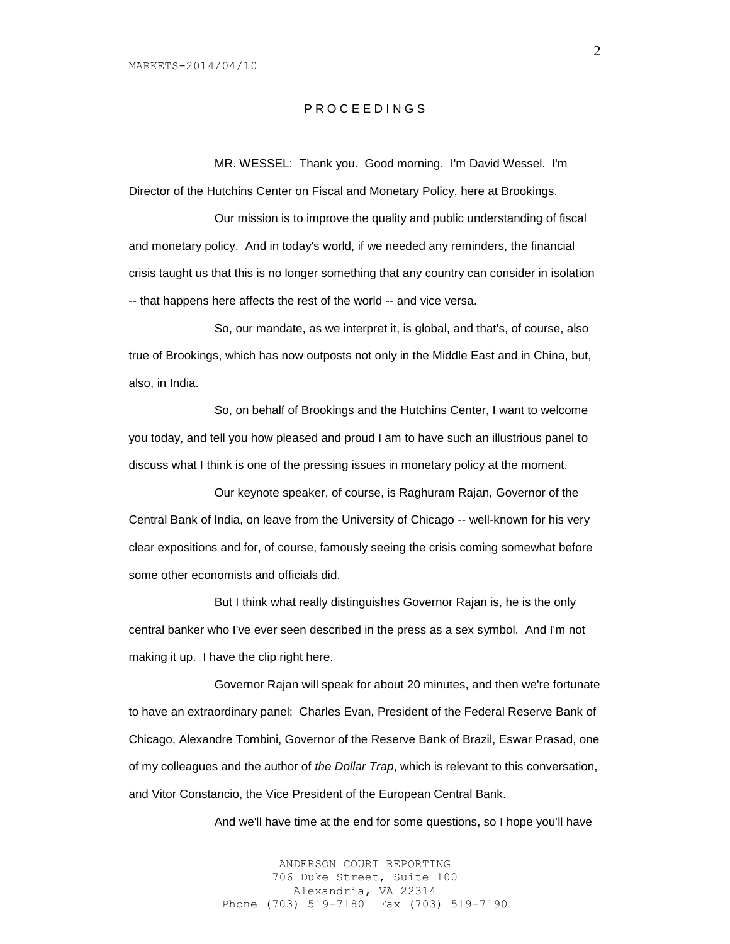## P R O C E E D I N G S

MR. WESSEL: Thank you. Good morning. I'm David Wessel. I'm Director of the Hutchins Center on Fiscal and Monetary Policy, here at Brookings.

Our mission is to improve the quality and public understanding of fiscal and monetary policy. And in today's world, if we needed any reminders, the financial crisis taught us that this is no longer something that any country can consider in isolation -- that happens here affects the rest of the world -- and vice versa.

So, our mandate, as we interpret it, is global, and that's, of course, also true of Brookings, which has now outposts not only in the Middle East and in China, but, also, in India.

So, on behalf of Brookings and the Hutchins Center, I want to welcome you today, and tell you how pleased and proud I am to have such an illustrious panel to discuss what I think is one of the pressing issues in monetary policy at the moment.

Our keynote speaker, of course, is Raghuram Rajan, Governor of the Central Bank of India, on leave from the University of Chicago -- well-known for his very clear expositions and for, of course, famously seeing the crisis coming somewhat before some other economists and officials did.

But I think what really distinguishes Governor Rajan is, he is the only central banker who I've ever seen described in the press as a sex symbol. And I'm not making it up. I have the clip right here.

Governor Rajan will speak for about 20 minutes, and then we're fortunate to have an extraordinary panel: Charles Evan, President of the Federal Reserve Bank of Chicago, Alexandre Tombini, Governor of the Reserve Bank of Brazil, Eswar Prasad, one of my colleagues and the author of *the Dollar Trap*, which is relevant to this conversation, and Vitor Constancio, the Vice President of the European Central Bank.

And we'll have time at the end for some questions, so I hope you'll have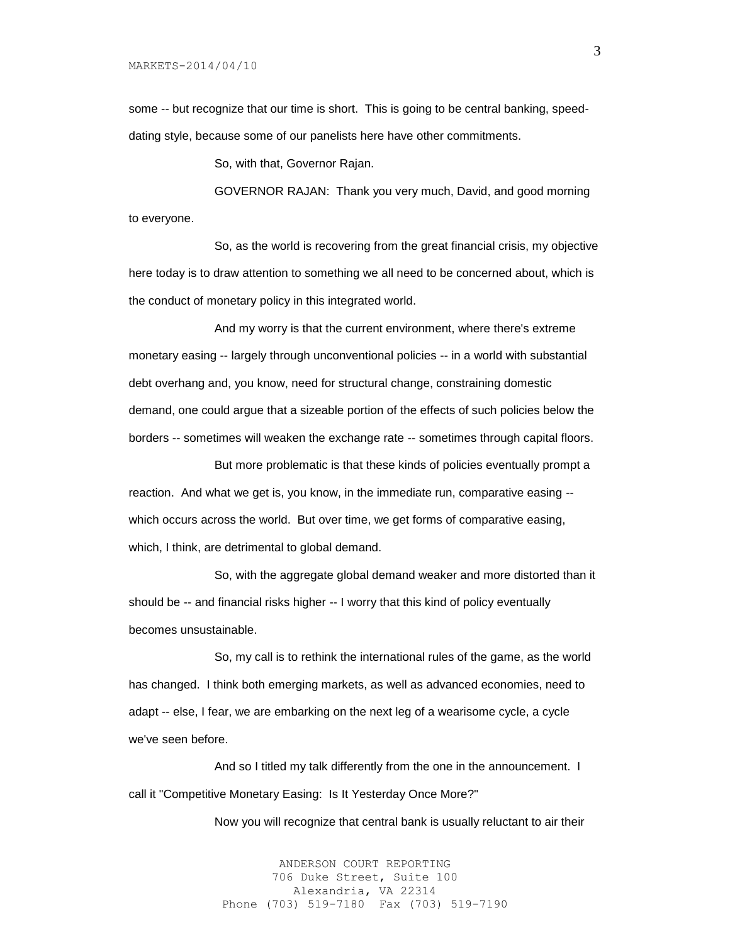MARKETS-2014/04/10

some -- but recognize that our time is short. This is going to be central banking, speeddating style, because some of our panelists here have other commitments.

So, with that, Governor Rajan.

GOVERNOR RAJAN: Thank you very much, David, and good morning to everyone.

So, as the world is recovering from the great financial crisis, my objective here today is to draw attention to something we all need to be concerned about, which is the conduct of monetary policy in this integrated world.

And my worry is that the current environment, where there's extreme monetary easing -- largely through unconventional policies -- in a world with substantial debt overhang and, you know, need for structural change, constraining domestic demand, one could argue that a sizeable portion of the effects of such policies below the borders -- sometimes will weaken the exchange rate -- sometimes through capital floors.

But more problematic is that these kinds of policies eventually prompt a reaction. And what we get is, you know, in the immediate run, comparative easing - which occurs across the world. But over time, we get forms of comparative easing, which, I think, are detrimental to global demand.

So, with the aggregate global demand weaker and more distorted than it should be -- and financial risks higher -- I worry that this kind of policy eventually becomes unsustainable.

So, my call is to rethink the international rules of the game, as the world has changed. I think both emerging markets, as well as advanced economies, need to adapt -- else, I fear, we are embarking on the next leg of a wearisome cycle, a cycle we've seen before.

And so I titled my talk differently from the one in the announcement. I call it "Competitive Monetary Easing: Is It Yesterday Once More?"

Now you will recognize that central bank is usually reluctant to air their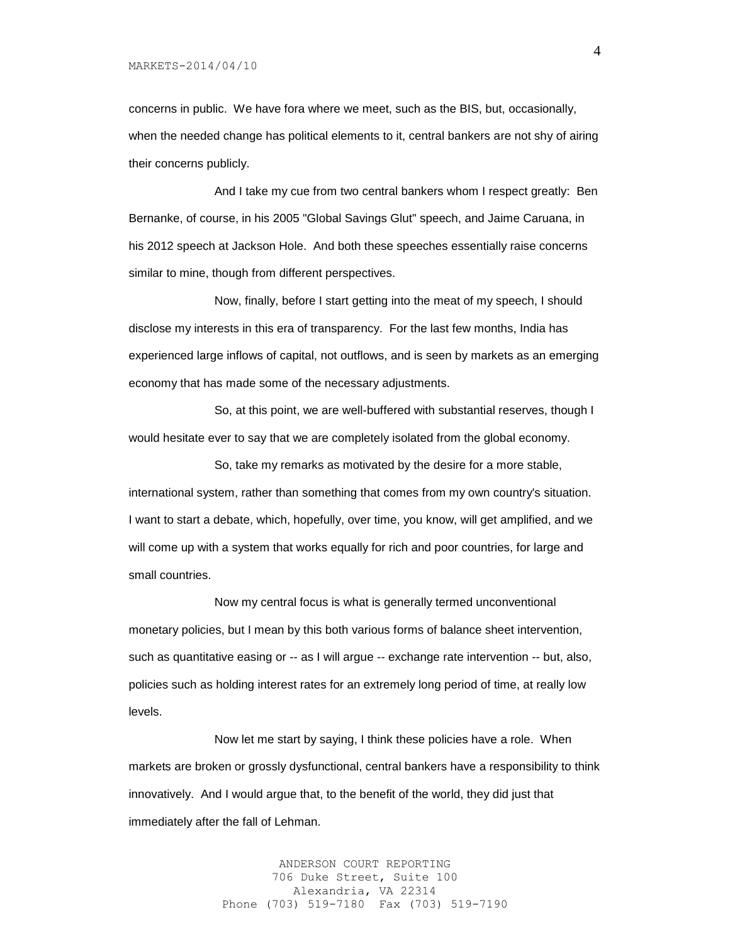concerns in public. We have fora where we meet, such as the BIS, but, occasionally, when the needed change has political elements to it, central bankers are not shy of airing their concerns publicly.

And I take my cue from two central bankers whom I respect greatly: Ben Bernanke, of course, in his 2005 "Global Savings Glut" speech, and Jaime Caruana, in his 2012 speech at Jackson Hole. And both these speeches essentially raise concerns similar to mine, though from different perspectives.

Now, finally, before I start getting into the meat of my speech, I should disclose my interests in this era of transparency. For the last few months, India has experienced large inflows of capital, not outflows, and is seen by markets as an emerging economy that has made some of the necessary adjustments.

So, at this point, we are well-buffered with substantial reserves, though I would hesitate ever to say that we are completely isolated from the global economy.

So, take my remarks as motivated by the desire for a more stable, international system, rather than something that comes from my own country's situation. I want to start a debate, which, hopefully, over time, you know, will get amplified, and we will come up with a system that works equally for rich and poor countries, for large and small countries.

Now my central focus is what is generally termed unconventional monetary policies, but I mean by this both various forms of balance sheet intervention, such as quantitative easing or -- as I will argue -- exchange rate intervention -- but, also, policies such as holding interest rates for an extremely long period of time, at really low levels.

Now let me start by saying, I think these policies have a role. When markets are broken or grossly dysfunctional, central bankers have a responsibility to think innovatively. And I would argue that, to the benefit of the world, they did just that immediately after the fall of Lehman.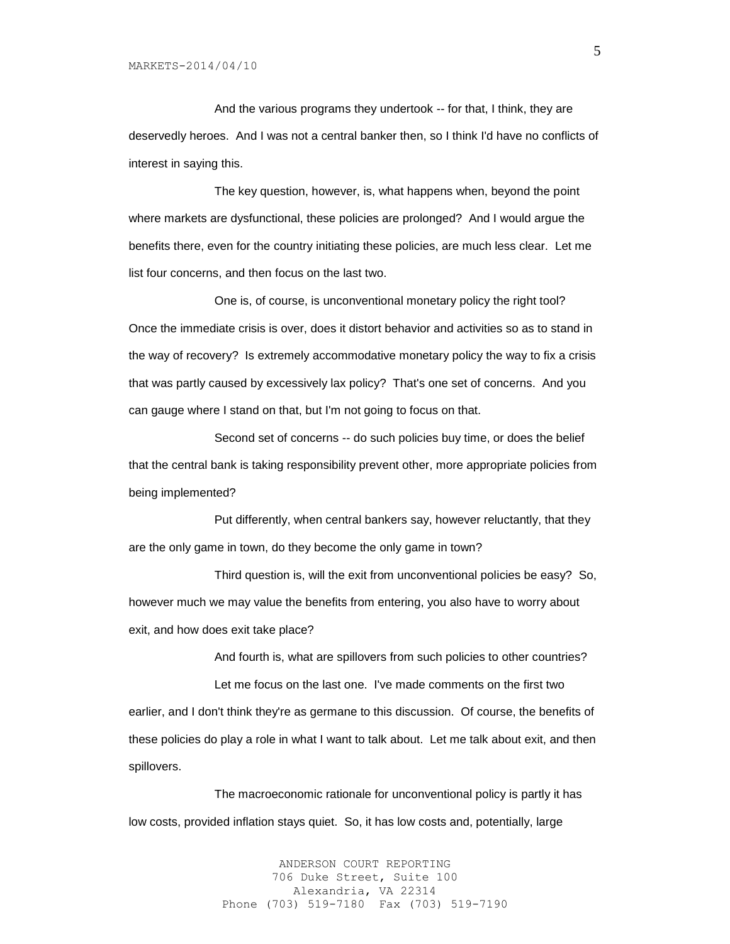And the various programs they undertook -- for that, I think, they are deservedly heroes. And I was not a central banker then, so I think I'd have no conflicts of interest in saying this.

The key question, however, is, what happens when, beyond the point where markets are dysfunctional, these policies are prolonged? And I would argue the benefits there, even for the country initiating these policies, are much less clear. Let me list four concerns, and then focus on the last two.

One is, of course, is unconventional monetary policy the right tool? Once the immediate crisis is over, does it distort behavior and activities so as to stand in the way of recovery? Is extremely accommodative monetary policy the way to fix a crisis that was partly caused by excessively lax policy? That's one set of concerns. And you can gauge where I stand on that, but I'm not going to focus on that.

Second set of concerns -- do such policies buy time, or does the belief that the central bank is taking responsibility prevent other, more appropriate policies from being implemented?

Put differently, when central bankers say, however reluctantly, that they are the only game in town, do they become the only game in town?

Third question is, will the exit from unconventional policies be easy? So, however much we may value the benefits from entering, you also have to worry about exit, and how does exit take place?

And fourth is, what are spillovers from such policies to other countries? Let me focus on the last one. I've made comments on the first two earlier, and I don't think they're as germane to this discussion. Of course, the benefits of these policies do play a role in what I want to talk about. Let me talk about exit, and then spillovers.

The macroeconomic rationale for unconventional policy is partly it has low costs, provided inflation stays quiet. So, it has low costs and, potentially, large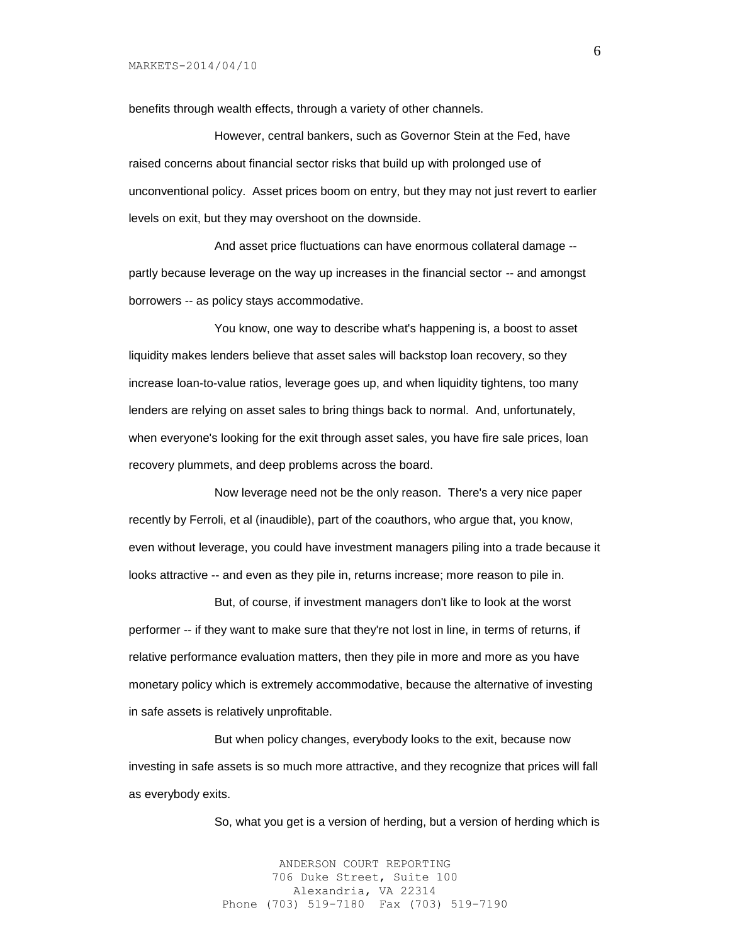benefits through wealth effects, through a variety of other channels.

However, central bankers, such as Governor Stein at the Fed, have raised concerns about financial sector risks that build up with prolonged use of unconventional policy. Asset prices boom on entry, but they may not just revert to earlier levels on exit, but they may overshoot on the downside.

And asset price fluctuations can have enormous collateral damage - partly because leverage on the way up increases in the financial sector -- and amongst borrowers -- as policy stays accommodative.

You know, one way to describe what's happening is, a boost to asset liquidity makes lenders believe that asset sales will backstop loan recovery, so they increase loan-to-value ratios, leverage goes up, and when liquidity tightens, too many lenders are relying on asset sales to bring things back to normal. And, unfortunately, when everyone's looking for the exit through asset sales, you have fire sale prices, loan recovery plummets, and deep problems across the board.

Now leverage need not be the only reason. There's a very nice paper recently by Ferroli, et al (inaudible), part of the coauthors, who argue that, you know, even without leverage, you could have investment managers piling into a trade because it looks attractive -- and even as they pile in, returns increase; more reason to pile in.

But, of course, if investment managers don't like to look at the worst performer -- if they want to make sure that they're not lost in line, in terms of returns, if relative performance evaluation matters, then they pile in more and more as you have monetary policy which is extremely accommodative, because the alternative of investing in safe assets is relatively unprofitable.

But when policy changes, everybody looks to the exit, because now investing in safe assets is so much more attractive, and they recognize that prices will fall as everybody exits.

So, what you get is a version of herding, but a version of herding which is

ANDERSON COURT REPORTING 706 Duke Street, Suite 100 Alexandria, VA 22314 Phone (703) 519-7180 Fax (703) 519-7190 6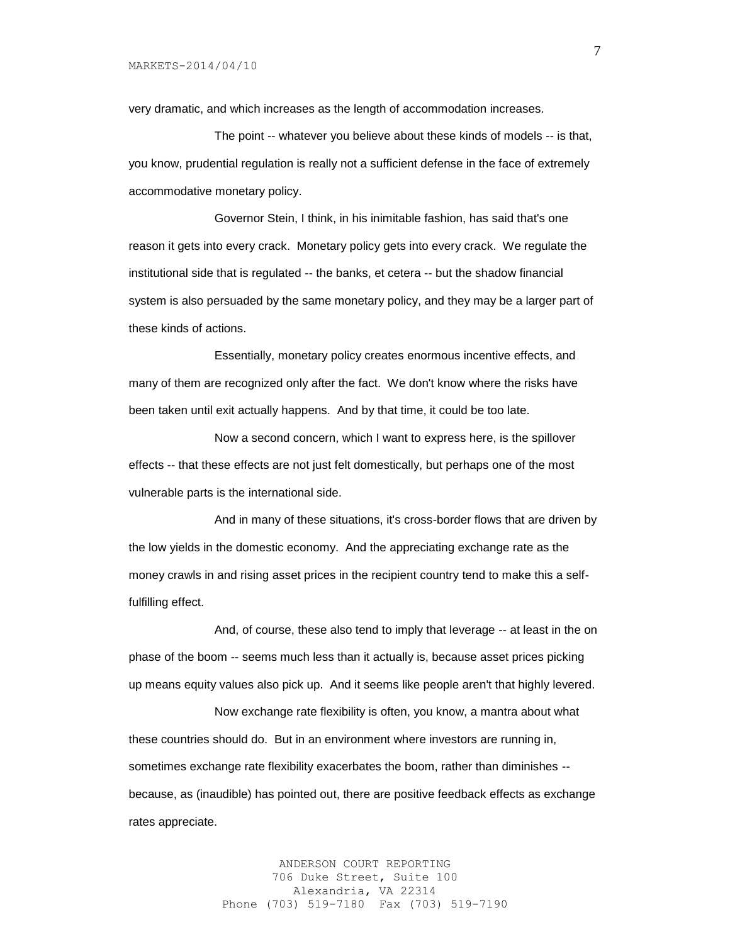very dramatic, and which increases as the length of accommodation increases.

The point -- whatever you believe about these kinds of models -- is that, you know, prudential regulation is really not a sufficient defense in the face of extremely accommodative monetary policy.

Governor Stein, I think, in his inimitable fashion, has said that's one reason it gets into every crack. Monetary policy gets into every crack. We regulate the institutional side that is regulated -- the banks, et cetera -- but the shadow financial system is also persuaded by the same monetary policy, and they may be a larger part of these kinds of actions.

Essentially, monetary policy creates enormous incentive effects, and many of them are recognized only after the fact. We don't know where the risks have been taken until exit actually happens. And by that time, it could be too late.

Now a second concern, which I want to express here, is the spillover effects -- that these effects are not just felt domestically, but perhaps one of the most vulnerable parts is the international side.

And in many of these situations, it's cross-border flows that are driven by the low yields in the domestic economy. And the appreciating exchange rate as the money crawls in and rising asset prices in the recipient country tend to make this a selffulfilling effect.

And, of course, these also tend to imply that leverage -- at least in the on phase of the boom -- seems much less than it actually is, because asset prices picking up means equity values also pick up. And it seems like people aren't that highly levered.

Now exchange rate flexibility is often, you know, a mantra about what these countries should do. But in an environment where investors are running in, sometimes exchange rate flexibility exacerbates the boom, rather than diminishes - because, as (inaudible) has pointed out, there are positive feedback effects as exchange rates appreciate.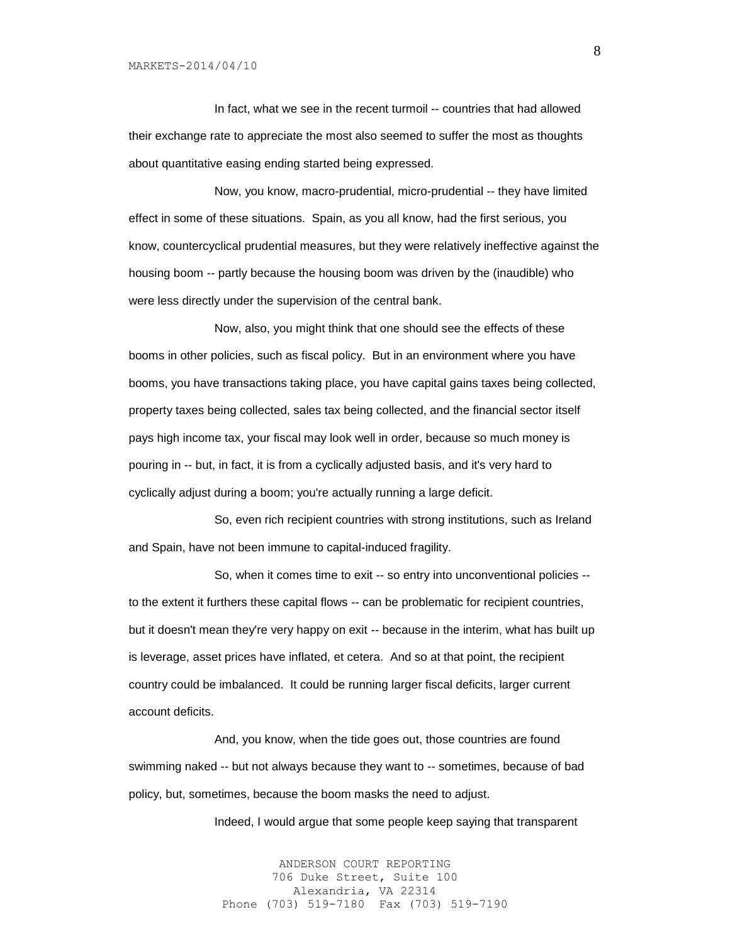In fact, what we see in the recent turmoil -- countries that had allowed their exchange rate to appreciate the most also seemed to suffer the most as thoughts about quantitative easing ending started being expressed.

Now, you know, macro-prudential, micro-prudential -- they have limited effect in some of these situations. Spain, as you all know, had the first serious, you know, countercyclical prudential measures, but they were relatively ineffective against the housing boom -- partly because the housing boom was driven by the (inaudible) who were less directly under the supervision of the central bank.

Now, also, you might think that one should see the effects of these booms in other policies, such as fiscal policy. But in an environment where you have booms, you have transactions taking place, you have capital gains taxes being collected, property taxes being collected, sales tax being collected, and the financial sector itself pays high income tax, your fiscal may look well in order, because so much money is pouring in -- but, in fact, it is from a cyclically adjusted basis, and it's very hard to cyclically adjust during a boom; you're actually running a large deficit.

So, even rich recipient countries with strong institutions, such as Ireland and Spain, have not been immune to capital-induced fragility.

So, when it comes time to exit -- so entry into unconventional policies - to the extent it furthers these capital flows -- can be problematic for recipient countries, but it doesn't mean they're very happy on exit -- because in the interim, what has built up is leverage, asset prices have inflated, et cetera. And so at that point, the recipient country could be imbalanced. It could be running larger fiscal deficits, larger current account deficits.

And, you know, when the tide goes out, those countries are found swimming naked -- but not always because they want to -- sometimes, because of bad policy, but, sometimes, because the boom masks the need to adjust.

Indeed, I would argue that some people keep saying that transparent

ANDERSON COURT REPORTING 706 Duke Street, Suite 100 Alexandria, VA 22314 Phone (703) 519-7180 Fax (703) 519-7190 8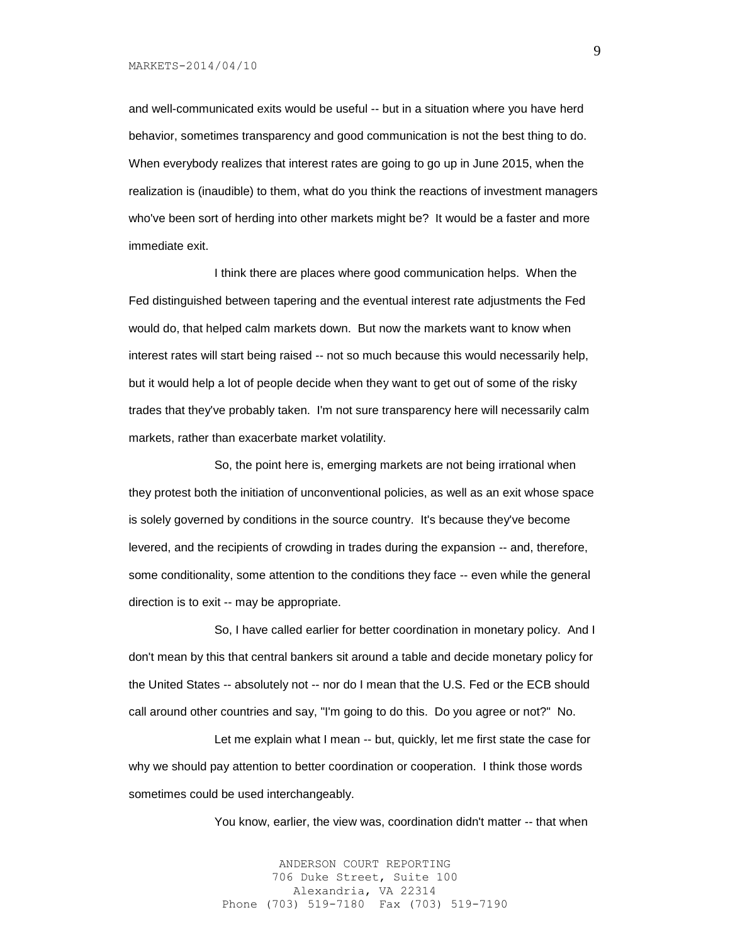#### MARKETS-2014/04/10

and well-communicated exits would be useful -- but in a situation where you have herd behavior, sometimes transparency and good communication is not the best thing to do. When everybody realizes that interest rates are going to go up in June 2015, when the realization is (inaudible) to them, what do you think the reactions of investment managers who've been sort of herding into other markets might be? It would be a faster and more immediate exit.

I think there are places where good communication helps. When the Fed distinguished between tapering and the eventual interest rate adjustments the Fed would do, that helped calm markets down. But now the markets want to know when interest rates will start being raised -- not so much because this would necessarily help, but it would help a lot of people decide when they want to get out of some of the risky trades that they've probably taken. I'm not sure transparency here will necessarily calm markets, rather than exacerbate market volatility.

So, the point here is, emerging markets are not being irrational when they protest both the initiation of unconventional policies, as well as an exit whose space is solely governed by conditions in the source country. It's because they've become levered, and the recipients of crowding in trades during the expansion -- and, therefore, some conditionality, some attention to the conditions they face -- even while the general direction is to exit -- may be appropriate.

So, I have called earlier for better coordination in monetary policy. And I don't mean by this that central bankers sit around a table and decide monetary policy for the United States -- absolutely not -- nor do I mean that the U.S. Fed or the ECB should call around other countries and say, "I'm going to do this. Do you agree or not?" No.

Let me explain what I mean -- but, quickly, let me first state the case for why we should pay attention to better coordination or cooperation. I think those words sometimes could be used interchangeably.

You know, earlier, the view was, coordination didn't matter -- that when

ANDERSON COURT REPORTING 706 Duke Street, Suite 100 Alexandria, VA 22314 Phone (703) 519-7180 Fax (703) 519-7190 9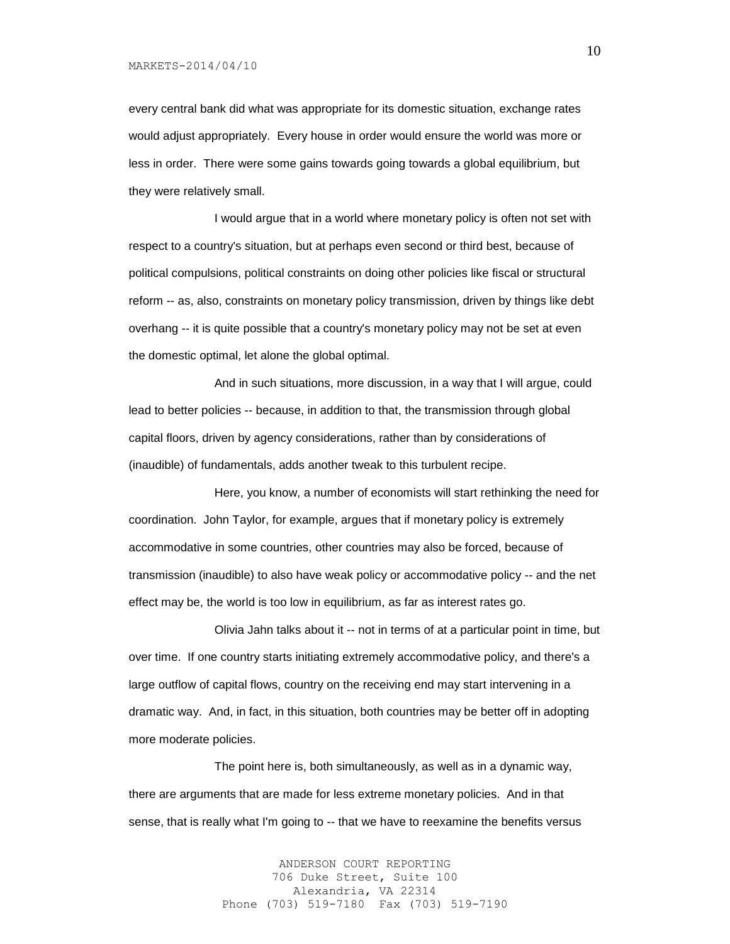MARKETS-2014/04/10

every central bank did what was appropriate for its domestic situation, exchange rates would adjust appropriately. Every house in order would ensure the world was more or less in order. There were some gains towards going towards a global equilibrium, but they were relatively small.

I would argue that in a world where monetary policy is often not set with respect to a country's situation, but at perhaps even second or third best, because of political compulsions, political constraints on doing other policies like fiscal or structural reform -- as, also, constraints on monetary policy transmission, driven by things like debt overhang -- it is quite possible that a country's monetary policy may not be set at even the domestic optimal, let alone the global optimal.

And in such situations, more discussion, in a way that I will argue, could lead to better policies -- because, in addition to that, the transmission through global capital floors, driven by agency considerations, rather than by considerations of (inaudible) of fundamentals, adds another tweak to this turbulent recipe.

Here, you know, a number of economists will start rethinking the need for coordination. John Taylor, for example, argues that if monetary policy is extremely accommodative in some countries, other countries may also be forced, because of transmission (inaudible) to also have weak policy or accommodative policy -- and the net effect may be, the world is too low in equilibrium, as far as interest rates go.

Olivia Jahn talks about it -- not in terms of at a particular point in time, but over time. If one country starts initiating extremely accommodative policy, and there's a large outflow of capital flows, country on the receiving end may start intervening in a dramatic way. And, in fact, in this situation, both countries may be better off in adopting more moderate policies.

The point here is, both simultaneously, as well as in a dynamic way, there are arguments that are made for less extreme monetary policies. And in that sense, that is really what I'm going to -- that we have to reexamine the benefits versus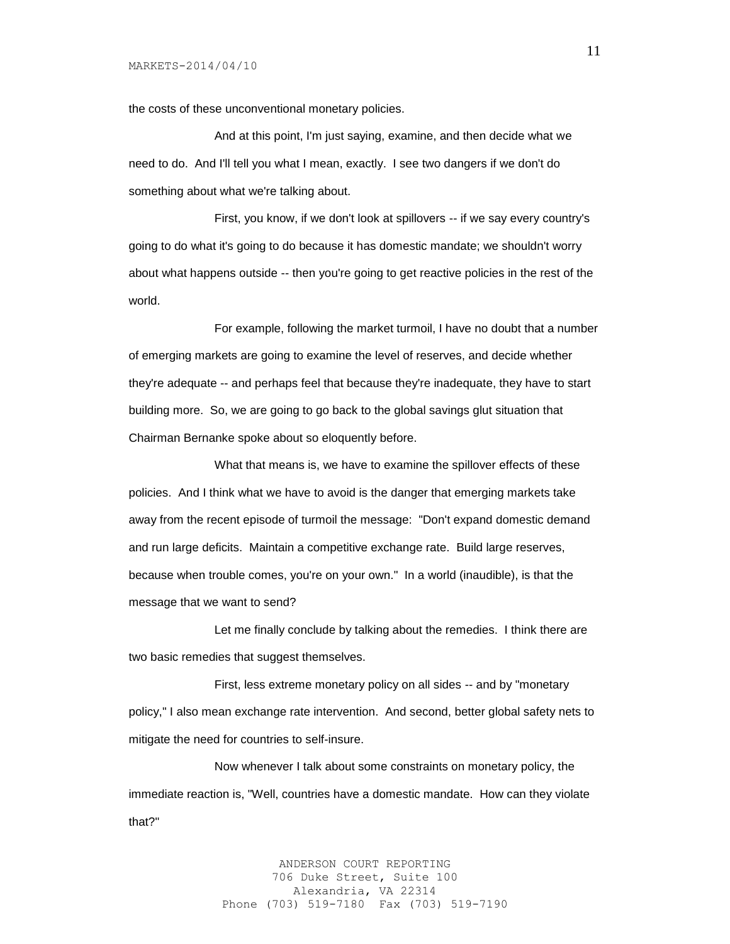the costs of these unconventional monetary policies.

And at this point, I'm just saying, examine, and then decide what we need to do. And I'll tell you what I mean, exactly. I see two dangers if we don't do something about what we're talking about.

First, you know, if we don't look at spillovers -- if we say every country's going to do what it's going to do because it has domestic mandate; we shouldn't worry about what happens outside -- then you're going to get reactive policies in the rest of the world.

For example, following the market turmoil, I have no doubt that a number of emerging markets are going to examine the level of reserves, and decide whether they're adequate -- and perhaps feel that because they're inadequate, they have to start building more. So, we are going to go back to the global savings glut situation that Chairman Bernanke spoke about so eloquently before.

What that means is, we have to examine the spillover effects of these policies. And I think what we have to avoid is the danger that emerging markets take away from the recent episode of turmoil the message: "Don't expand domestic demand and run large deficits. Maintain a competitive exchange rate. Build large reserves, because when trouble comes, you're on your own." In a world (inaudible), is that the message that we want to send?

Let me finally conclude by talking about the remedies. I think there are two basic remedies that suggest themselves.

First, less extreme monetary policy on all sides -- and by "monetary policy," I also mean exchange rate intervention. And second, better global safety nets to mitigate the need for countries to self-insure.

Now whenever I talk about some constraints on monetary policy, the immediate reaction is, "Well, countries have a domestic mandate. How can they violate that?"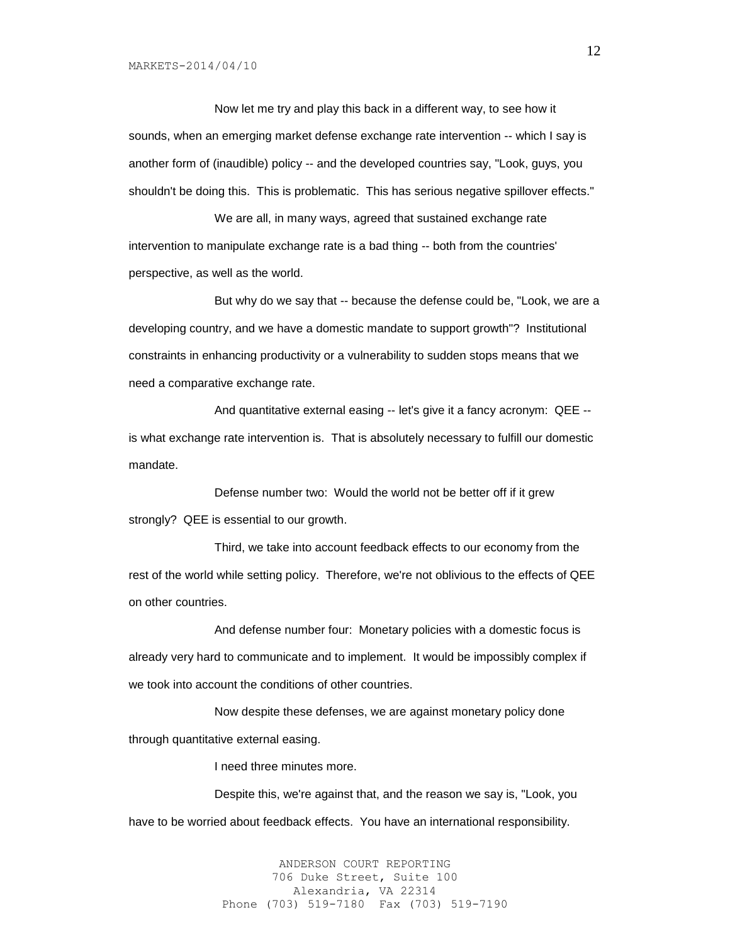Now let me try and play this back in a different way, to see how it sounds, when an emerging market defense exchange rate intervention -- which I say is another form of (inaudible) policy -- and the developed countries say, "Look, guys, you shouldn't be doing this. This is problematic. This has serious negative spillover effects."

We are all, in many ways, agreed that sustained exchange rate intervention to manipulate exchange rate is a bad thing -- both from the countries' perspective, as well as the world.

But why do we say that -- because the defense could be, "Look, we are a developing country, and we have a domestic mandate to support growth"? Institutional constraints in enhancing productivity or a vulnerability to sudden stops means that we need a comparative exchange rate.

And quantitative external easing -- let's give it a fancy acronym: QEE - is what exchange rate intervention is. That is absolutely necessary to fulfill our domestic mandate.

Defense number two: Would the world not be better off if it grew strongly? QEE is essential to our growth.

Third, we take into account feedback effects to our economy from the rest of the world while setting policy. Therefore, we're not oblivious to the effects of QEE on other countries.

And defense number four: Monetary policies with a domestic focus is already very hard to communicate and to implement. It would be impossibly complex if we took into account the conditions of other countries.

Now despite these defenses, we are against monetary policy done through quantitative external easing.

I need three minutes more.

Despite this, we're against that, and the reason we say is, "Look, you have to be worried about feedback effects. You have an international responsibility.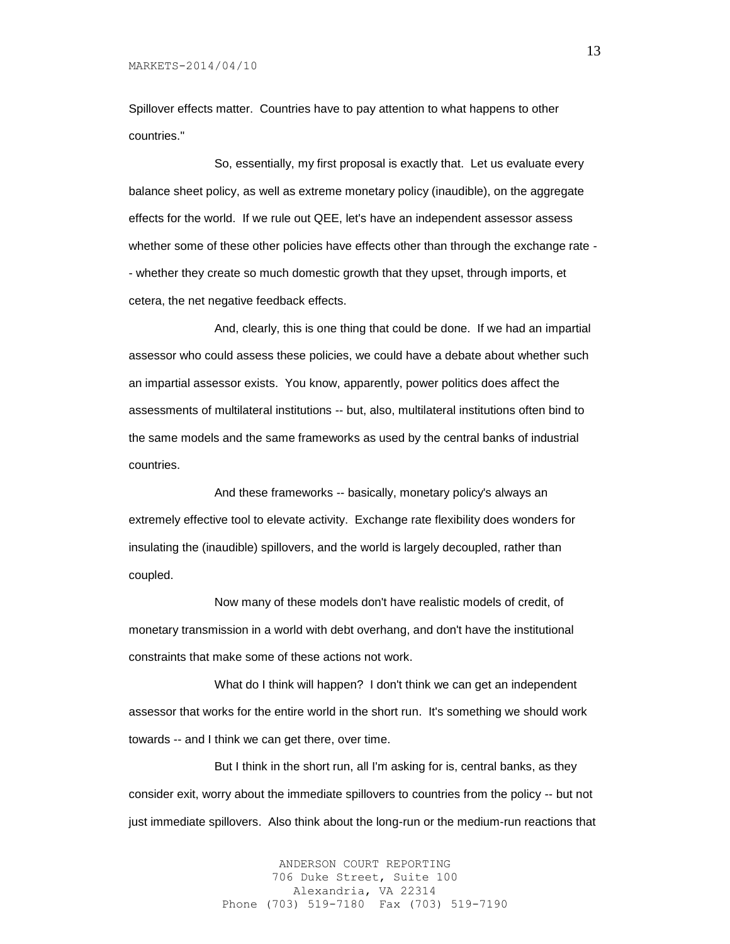Spillover effects matter. Countries have to pay attention to what happens to other countries."

So, essentially, my first proposal is exactly that. Let us evaluate every balance sheet policy, as well as extreme monetary policy (inaudible), on the aggregate effects for the world. If we rule out QEE, let's have an independent assessor assess whether some of these other policies have effects other than through the exchange rate - - whether they create so much domestic growth that they upset, through imports, et cetera, the net negative feedback effects.

And, clearly, this is one thing that could be done. If we had an impartial assessor who could assess these policies, we could have a debate about whether such an impartial assessor exists. You know, apparently, power politics does affect the assessments of multilateral institutions -- but, also, multilateral institutions often bind to the same models and the same frameworks as used by the central banks of industrial countries.

And these frameworks -- basically, monetary policy's always an extremely effective tool to elevate activity. Exchange rate flexibility does wonders for insulating the (inaudible) spillovers, and the world is largely decoupled, rather than coupled.

Now many of these models don't have realistic models of credit, of monetary transmission in a world with debt overhang, and don't have the institutional constraints that make some of these actions not work.

What do I think will happen? I don't think we can get an independent assessor that works for the entire world in the short run. It's something we should work towards -- and I think we can get there, over time.

But I think in the short run, all I'm asking for is, central banks, as they consider exit, worry about the immediate spillovers to countries from the policy -- but not just immediate spillovers. Also think about the long-run or the medium-run reactions that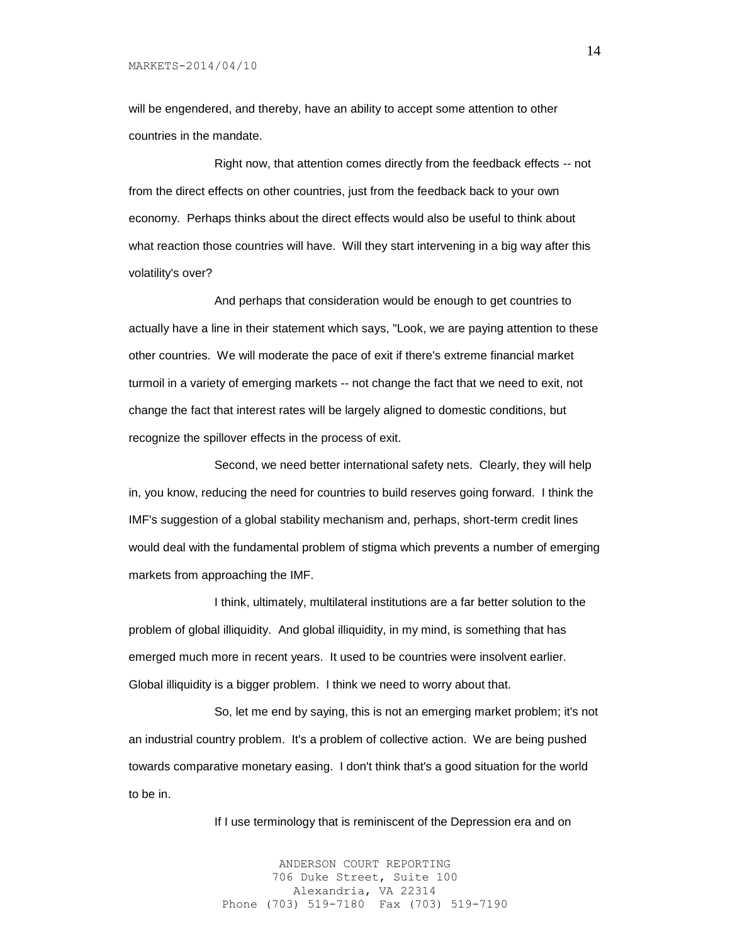will be engendered, and thereby, have an ability to accept some attention to other countries in the mandate.

Right now, that attention comes directly from the feedback effects -- not from the direct effects on other countries, just from the feedback back to your own economy. Perhaps thinks about the direct effects would also be useful to think about what reaction those countries will have. Will they start intervening in a big way after this volatility's over?

And perhaps that consideration would be enough to get countries to actually have a line in their statement which says, "Look, we are paying attention to these other countries. We will moderate the pace of exit if there's extreme financial market turmoil in a variety of emerging markets -- not change the fact that we need to exit, not change the fact that interest rates will be largely aligned to domestic conditions, but recognize the spillover effects in the process of exit.

Second, we need better international safety nets. Clearly, they will help in, you know, reducing the need for countries to build reserves going forward. I think the IMF's suggestion of a global stability mechanism and, perhaps, short-term credit lines would deal with the fundamental problem of stigma which prevents a number of emerging markets from approaching the IMF.

I think, ultimately, multilateral institutions are a far better solution to the problem of global illiquidity. And global illiquidity, in my mind, is something that has emerged much more in recent years. It used to be countries were insolvent earlier. Global illiquidity is a bigger problem. I think we need to worry about that.

So, let me end by saying, this is not an emerging market problem; it's not an industrial country problem. It's a problem of collective action. We are being pushed towards comparative monetary easing. I don't think that's a good situation for the world to be in.

If I use terminology that is reminiscent of the Depression era and on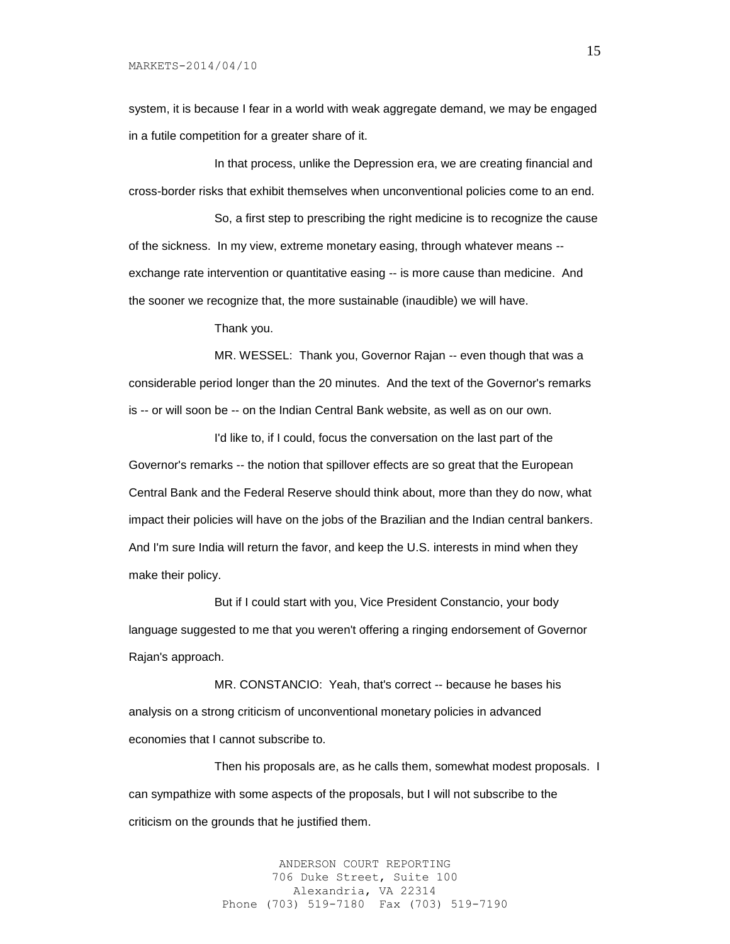system, it is because I fear in a world with weak aggregate demand, we may be engaged in a futile competition for a greater share of it.

In that process, unlike the Depression era, we are creating financial and cross-border risks that exhibit themselves when unconventional policies come to an end.

So, a first step to prescribing the right medicine is to recognize the cause of the sickness. In my view, extreme monetary easing, through whatever means - exchange rate intervention or quantitative easing -- is more cause than medicine. And the sooner we recognize that, the more sustainable (inaudible) we will have.

Thank you.

MR. WESSEL: Thank you, Governor Rajan -- even though that was a considerable period longer than the 20 minutes. And the text of the Governor's remarks is -- or will soon be -- on the Indian Central Bank website, as well as on our own.

I'd like to, if I could, focus the conversation on the last part of the Governor's remarks -- the notion that spillover effects are so great that the European Central Bank and the Federal Reserve should think about, more than they do now, what impact their policies will have on the jobs of the Brazilian and the Indian central bankers. And I'm sure India will return the favor, and keep the U.S. interests in mind when they make their policy.

But if I could start with you, Vice President Constancio, your body language suggested to me that you weren't offering a ringing endorsement of Governor Rajan's approach.

MR. CONSTANCIO: Yeah, that's correct -- because he bases his analysis on a strong criticism of unconventional monetary policies in advanced economies that I cannot subscribe to.

Then his proposals are, as he calls them, somewhat modest proposals. I can sympathize with some aspects of the proposals, but I will not subscribe to the criticism on the grounds that he justified them.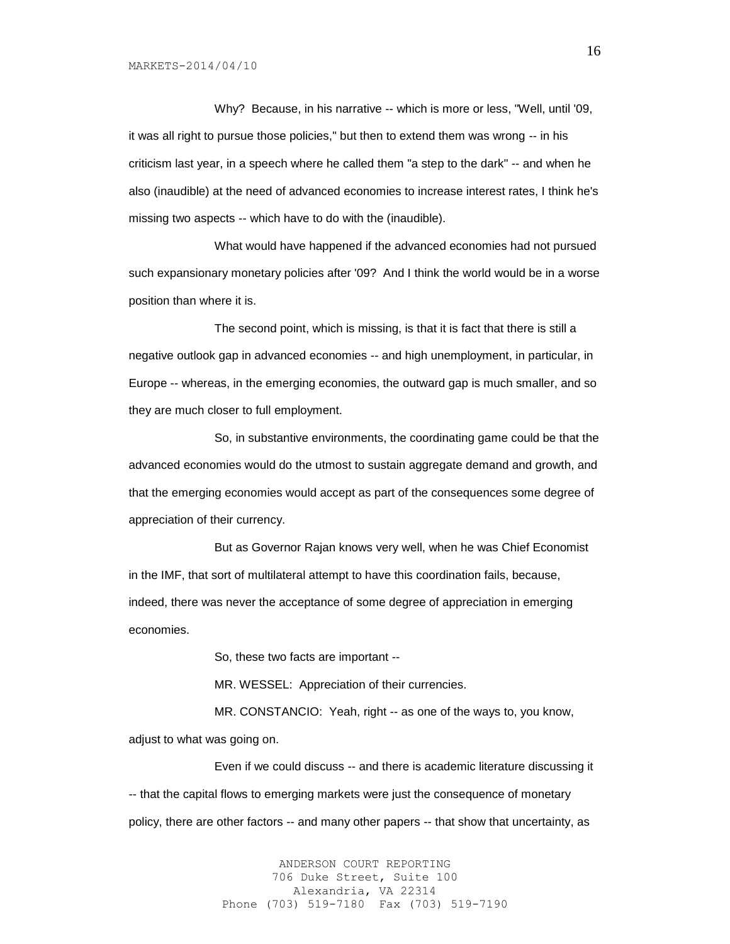Why? Because, in his narrative -- which is more or less, "Well, until '09, it was all right to pursue those policies," but then to extend them was wrong -- in his criticism last year, in a speech where he called them "a step to the dark" -- and when he also (inaudible) at the need of advanced economies to increase interest rates, I think he's missing two aspects -- which have to do with the (inaudible).

What would have happened if the advanced economies had not pursued such expansionary monetary policies after '09? And I think the world would be in a worse position than where it is.

The second point, which is missing, is that it is fact that there is still a negative outlook gap in advanced economies -- and high unemployment, in particular, in Europe -- whereas, in the emerging economies, the outward gap is much smaller, and so they are much closer to full employment.

So, in substantive environments, the coordinating game could be that the advanced economies would do the utmost to sustain aggregate demand and growth, and that the emerging economies would accept as part of the consequences some degree of appreciation of their currency.

But as Governor Rajan knows very well, when he was Chief Economist in the IMF, that sort of multilateral attempt to have this coordination fails, because, indeed, there was never the acceptance of some degree of appreciation in emerging economies.

So, these two facts are important --

MR. WESSEL: Appreciation of their currencies.

MR. CONSTANCIO: Yeah, right -- as one of the ways to, you know, adjust to what was going on.

Even if we could discuss -- and there is academic literature discussing it -- that the capital flows to emerging markets were just the consequence of monetary policy, there are other factors -- and many other papers -- that show that uncertainty, as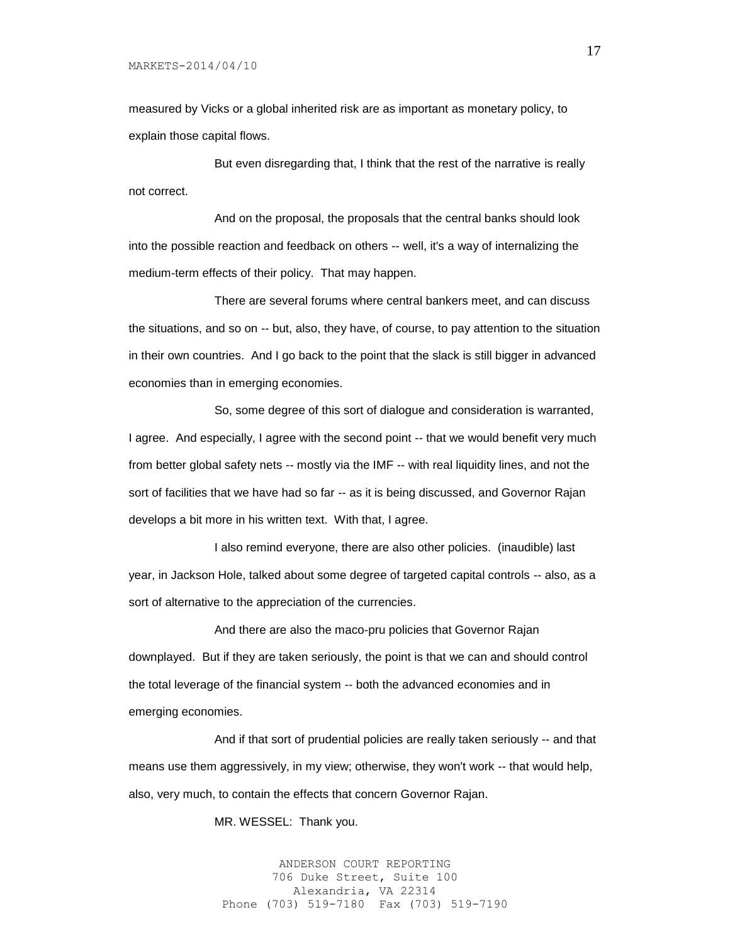measured by Vicks or a global inherited risk are as important as monetary policy, to explain those capital flows.

But even disregarding that, I think that the rest of the narrative is really not correct.

And on the proposal, the proposals that the central banks should look into the possible reaction and feedback on others -- well, it's a way of internalizing the medium-term effects of their policy. That may happen.

There are several forums where central bankers meet, and can discuss the situations, and so on -- but, also, they have, of course, to pay attention to the situation in their own countries. And I go back to the point that the slack is still bigger in advanced economies than in emerging economies.

So, some degree of this sort of dialogue and consideration is warranted, I agree. And especially, I agree with the second point -- that we would benefit very much from better global safety nets -- mostly via the IMF -- with real liquidity lines, and not the sort of facilities that we have had so far -- as it is being discussed, and Governor Rajan develops a bit more in his written text. With that, I agree.

I also remind everyone, there are also other policies. (inaudible) last year, in Jackson Hole, talked about some degree of targeted capital controls -- also, as a sort of alternative to the appreciation of the currencies.

And there are also the maco-pru policies that Governor Rajan downplayed. But if they are taken seriously, the point is that we can and should control the total leverage of the financial system -- both the advanced economies and in emerging economies.

And if that sort of prudential policies are really taken seriously -- and that means use them aggressively, in my view; otherwise, they won't work -- that would help, also, very much, to contain the effects that concern Governor Rajan.

MR. WESSEL: Thank you.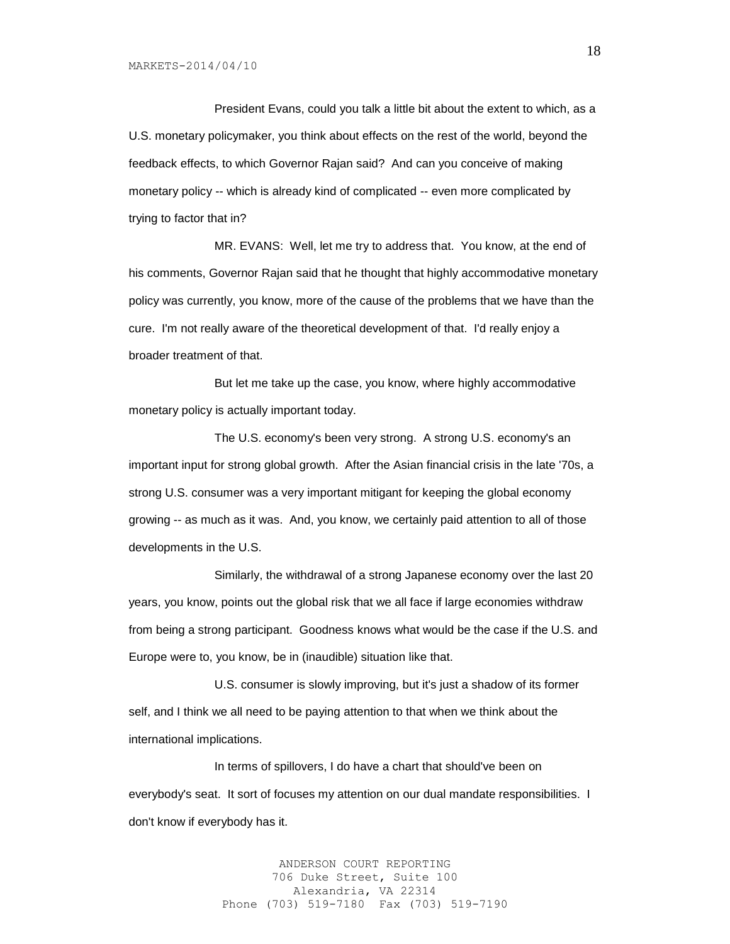President Evans, could you talk a little bit about the extent to which, as a U.S. monetary policymaker, you think about effects on the rest of the world, beyond the feedback effects, to which Governor Rajan said? And can you conceive of making monetary policy -- which is already kind of complicated -- even more complicated by trying to factor that in?

MR. EVANS: Well, let me try to address that. You know, at the end of his comments, Governor Rajan said that he thought that highly accommodative monetary policy was currently, you know, more of the cause of the problems that we have than the cure. I'm not really aware of the theoretical development of that. I'd really enjoy a broader treatment of that.

But let me take up the case, you know, where highly accommodative monetary policy is actually important today.

The U.S. economy's been very strong. A strong U.S. economy's an important input for strong global growth. After the Asian financial crisis in the late '70s, a strong U.S. consumer was a very important mitigant for keeping the global economy growing -- as much as it was. And, you know, we certainly paid attention to all of those developments in the U.S.

Similarly, the withdrawal of a strong Japanese economy over the last 20 years, you know, points out the global risk that we all face if large economies withdraw from being a strong participant. Goodness knows what would be the case if the U.S. and Europe were to, you know, be in (inaudible) situation like that.

U.S. consumer is slowly improving, but it's just a shadow of its former self, and I think we all need to be paying attention to that when we think about the international implications.

In terms of spillovers, I do have a chart that should've been on everybody's seat. It sort of focuses my attention on our dual mandate responsibilities. I don't know if everybody has it.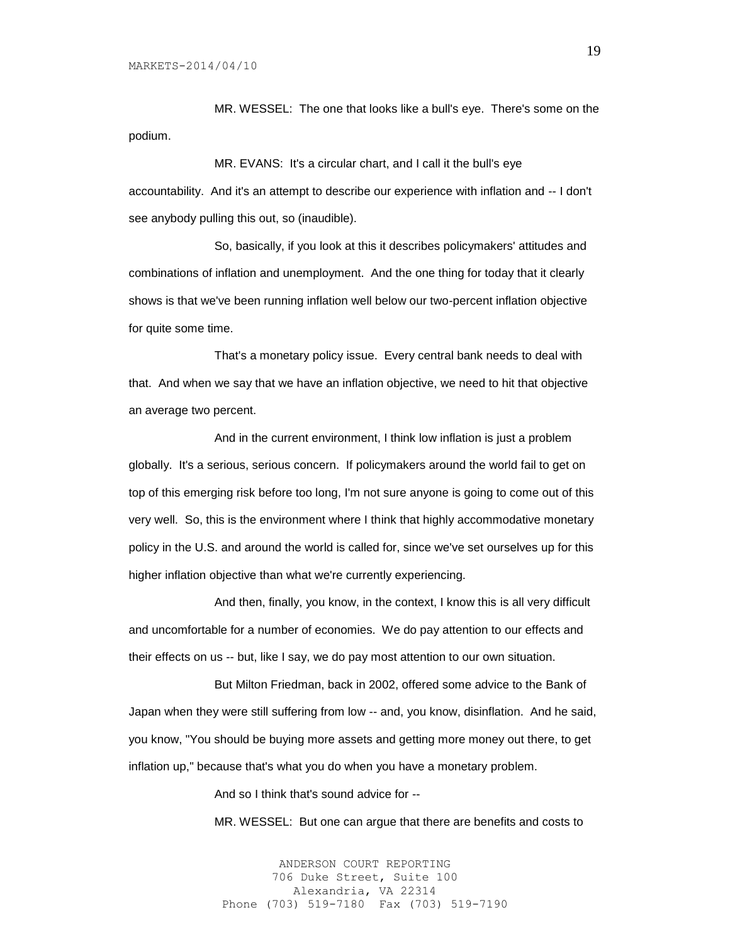MR. WESSEL: The one that looks like a bull's eye. There's some on the podium.

MR. EVANS: It's a circular chart, and I call it the bull's eye accountability. And it's an attempt to describe our experience with inflation and -- I don't see anybody pulling this out, so (inaudible).

So, basically, if you look at this it describes policymakers' attitudes and combinations of inflation and unemployment. And the one thing for today that it clearly shows is that we've been running inflation well below our two-percent inflation objective for quite some time.

That's a monetary policy issue. Every central bank needs to deal with that. And when we say that we have an inflation objective, we need to hit that objective an average two percent.

And in the current environment, I think low inflation is just a problem globally. It's a serious, serious concern. If policymakers around the world fail to get on top of this emerging risk before too long, I'm not sure anyone is going to come out of this very well. So, this is the environment where I think that highly accommodative monetary policy in the U.S. and around the world is called for, since we've set ourselves up for this higher inflation objective than what we're currently experiencing.

And then, finally, you know, in the context, I know this is all very difficult and uncomfortable for a number of economies. We do pay attention to our effects and their effects on us -- but, like I say, we do pay most attention to our own situation.

But Milton Friedman, back in 2002, offered some advice to the Bank of Japan when they were still suffering from low -- and, you know, disinflation. And he said, you know, "You should be buying more assets and getting more money out there, to get inflation up," because that's what you do when you have a monetary problem.

And so I think that's sound advice for --

MR. WESSEL: But one can argue that there are benefits and costs to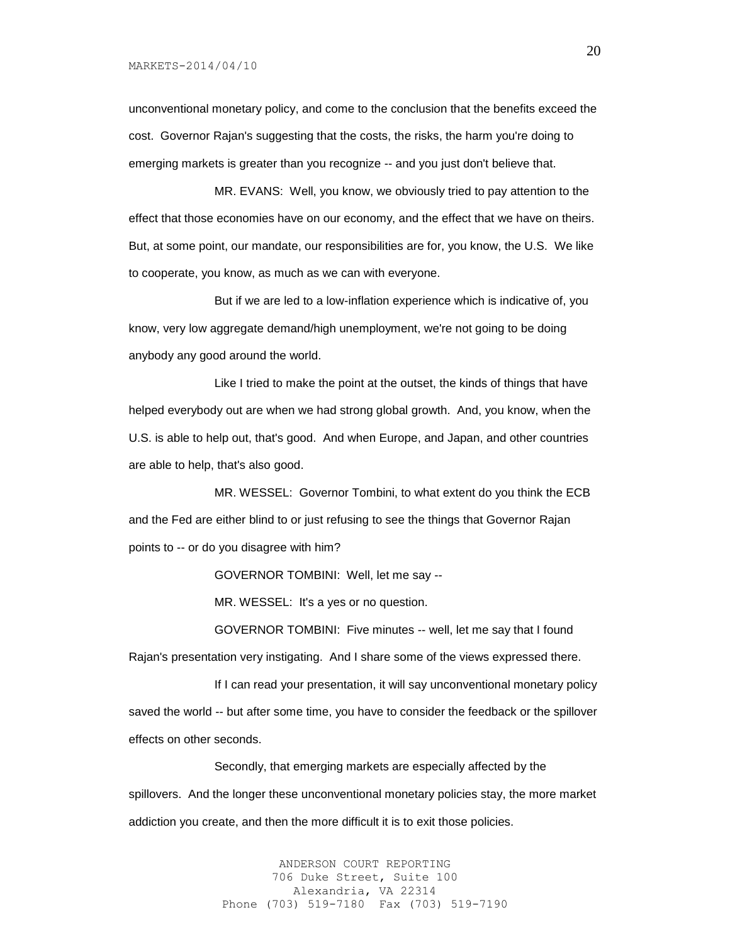unconventional monetary policy, and come to the conclusion that the benefits exceed the cost. Governor Rajan's suggesting that the costs, the risks, the harm you're doing to emerging markets is greater than you recognize -- and you just don't believe that.

MR. EVANS: Well, you know, we obviously tried to pay attention to the effect that those economies have on our economy, and the effect that we have on theirs. But, at some point, our mandate, our responsibilities are for, you know, the U.S. We like to cooperate, you know, as much as we can with everyone.

But if we are led to a low-inflation experience which is indicative of, you know, very low aggregate demand/high unemployment, we're not going to be doing anybody any good around the world.

Like I tried to make the point at the outset, the kinds of things that have helped everybody out are when we had strong global growth. And, you know, when the U.S. is able to help out, that's good. And when Europe, and Japan, and other countries are able to help, that's also good.

MR. WESSEL: Governor Tombini, to what extent do you think the ECB and the Fed are either blind to or just refusing to see the things that Governor Rajan points to -- or do you disagree with him?

GOVERNOR TOMBINI: Well, let me say --

MR. WESSEL: It's a yes or no question.

GOVERNOR TOMBINI: Five minutes -- well, let me say that I found

Rajan's presentation very instigating. And I share some of the views expressed there.

If I can read your presentation, it will say unconventional monetary policy saved the world -- but after some time, you have to consider the feedback or the spillover effects on other seconds.

Secondly, that emerging markets are especially affected by the spillovers. And the longer these unconventional monetary policies stay, the more market addiction you create, and then the more difficult it is to exit those policies.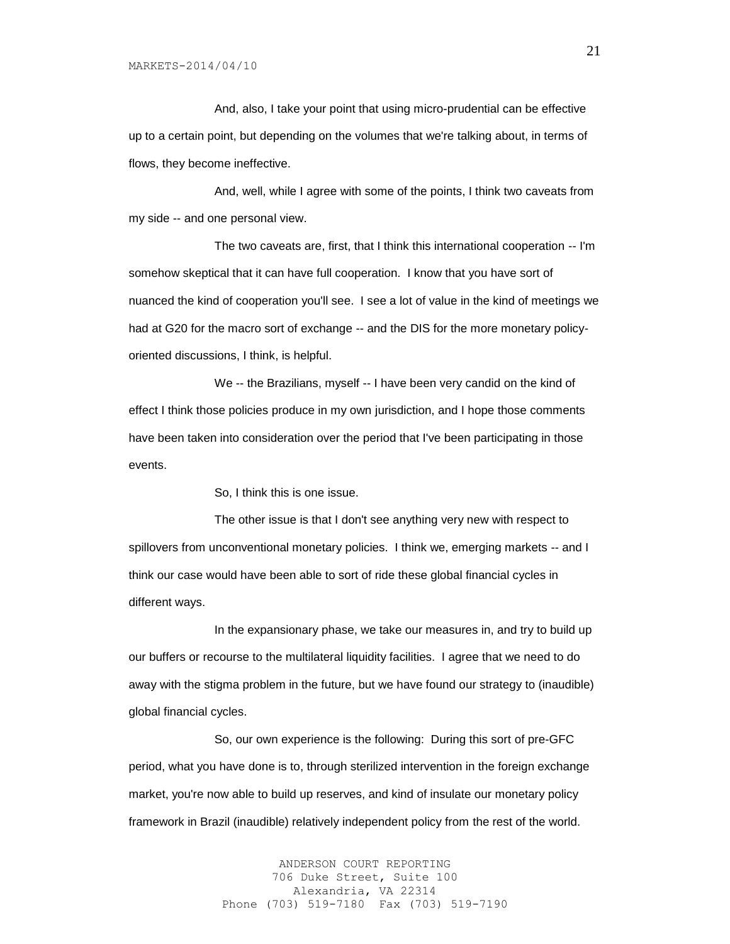And, also, I take your point that using micro-prudential can be effective up to a certain point, but depending on the volumes that we're talking about, in terms of flows, they become ineffective.

And, well, while I agree with some of the points, I think two caveats from my side -- and one personal view.

The two caveats are, first, that I think this international cooperation -- I'm somehow skeptical that it can have full cooperation. I know that you have sort of nuanced the kind of cooperation you'll see. I see a lot of value in the kind of meetings we had at G20 for the macro sort of exchange -- and the DIS for the more monetary policyoriented discussions, I think, is helpful.

We -- the Brazilians, myself -- I have been very candid on the kind of effect I think those policies produce in my own jurisdiction, and I hope those comments have been taken into consideration over the period that I've been participating in those events.

So, I think this is one issue.

The other issue is that I don't see anything very new with respect to spillovers from unconventional monetary policies. I think we, emerging markets -- and I think our case would have been able to sort of ride these global financial cycles in different ways.

In the expansionary phase, we take our measures in, and try to build up our buffers or recourse to the multilateral liquidity facilities. I agree that we need to do away with the stigma problem in the future, but we have found our strategy to (inaudible) global financial cycles.

So, our own experience is the following: During this sort of pre-GFC period, what you have done is to, through sterilized intervention in the foreign exchange market, you're now able to build up reserves, and kind of insulate our monetary policy framework in Brazil (inaudible) relatively independent policy from the rest of the world.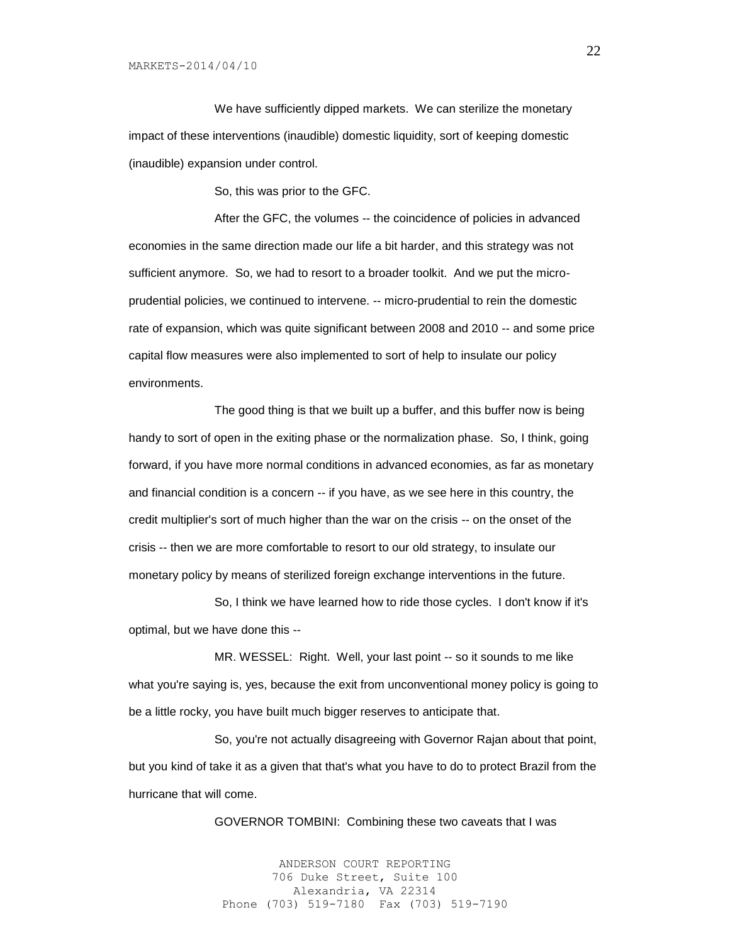We have sufficiently dipped markets. We can sterilize the monetary impact of these interventions (inaudible) domestic liquidity, sort of keeping domestic (inaudible) expansion under control.

So, this was prior to the GFC.

After the GFC, the volumes -- the coincidence of policies in advanced economies in the same direction made our life a bit harder, and this strategy was not sufficient anymore. So, we had to resort to a broader toolkit. And we put the microprudential policies, we continued to intervene. -- micro-prudential to rein the domestic rate of expansion, which was quite significant between 2008 and 2010 -- and some price capital flow measures were also implemented to sort of help to insulate our policy environments.

The good thing is that we built up a buffer, and this buffer now is being handy to sort of open in the exiting phase or the normalization phase. So, I think, going forward, if you have more normal conditions in advanced economies, as far as monetary and financial condition is a concern -- if you have, as we see here in this country, the credit multiplier's sort of much higher than the war on the crisis -- on the onset of the crisis -- then we are more comfortable to resort to our old strategy, to insulate our monetary policy by means of sterilized foreign exchange interventions in the future.

So, I think we have learned how to ride those cycles. I don't know if it's optimal, but we have done this --

MR. WESSEL: Right. Well, your last point -- so it sounds to me like what you're saying is, yes, because the exit from unconventional money policy is going to be a little rocky, you have built much bigger reserves to anticipate that.

So, you're not actually disagreeing with Governor Rajan about that point, but you kind of take it as a given that that's what you have to do to protect Brazil from the hurricane that will come.

GOVERNOR TOMBINI: Combining these two caveats that I was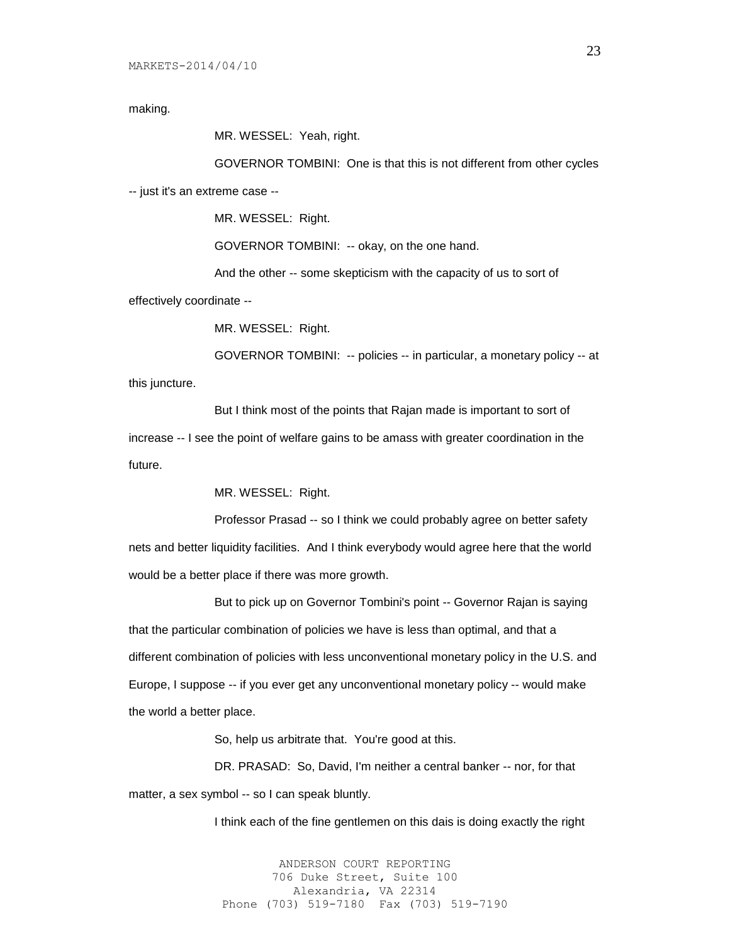making.

MR. WESSEL: Yeah, right.

GOVERNOR TOMBINI: One is that this is not different from other cycles -- just it's an extreme case --

MR. WESSEL: Right.

GOVERNOR TOMBINI: -- okay, on the one hand.

And the other -- some skepticism with the capacity of us to sort of

effectively coordinate --

MR. WESSEL: Right.

GOVERNOR TOMBINI: -- policies -- in particular, a monetary policy -- at

this juncture.

But I think most of the points that Rajan made is important to sort of increase -- I see the point of welfare gains to be amass with greater coordination in the future.

MR. WESSEL: Right.

Professor Prasad -- so I think we could probably agree on better safety nets and better liquidity facilities. And I think everybody would agree here that the world would be a better place if there was more growth.

But to pick up on Governor Tombini's point -- Governor Rajan is saying that the particular combination of policies we have is less than optimal, and that a different combination of policies with less unconventional monetary policy in the U.S. and Europe, I suppose -- if you ever get any unconventional monetary policy -- would make the world a better place.

So, help us arbitrate that. You're good at this.

DR. PRASAD: So, David, I'm neither a central banker -- nor, for that matter, a sex symbol -- so I can speak bluntly.

I think each of the fine gentlemen on this dais is doing exactly the right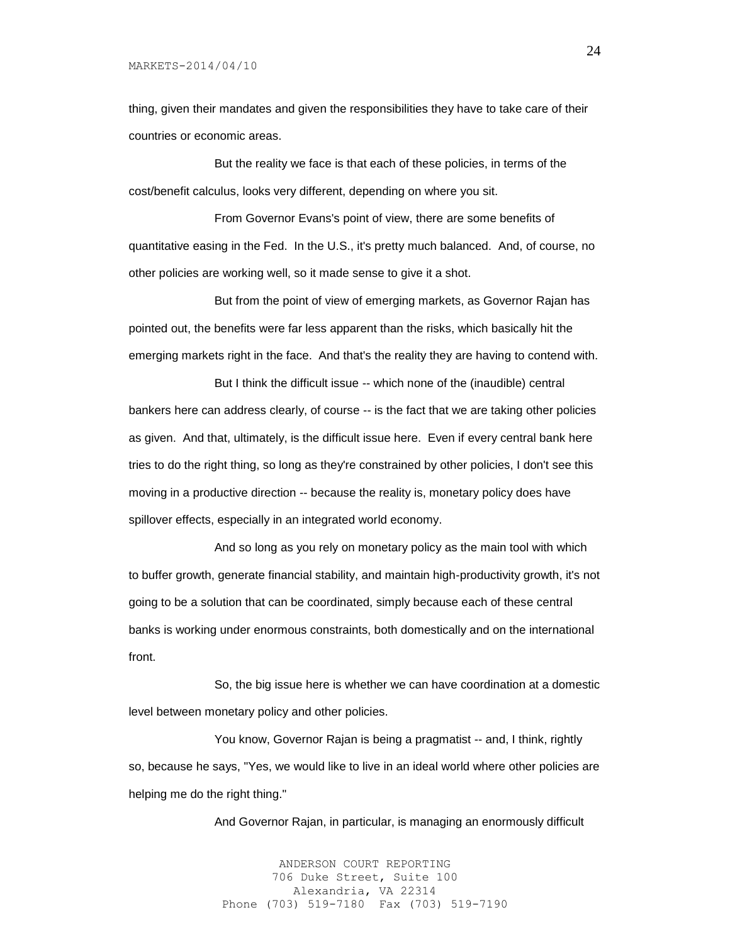MARKETS-2014/04/10

thing, given their mandates and given the responsibilities they have to take care of their countries or economic areas.

But the reality we face is that each of these policies, in terms of the cost/benefit calculus, looks very different, depending on where you sit.

From Governor Evans's point of view, there are some benefits of quantitative easing in the Fed. In the U.S., it's pretty much balanced. And, of course, no other policies are working well, so it made sense to give it a shot.

But from the point of view of emerging markets, as Governor Rajan has pointed out, the benefits were far less apparent than the risks, which basically hit the emerging markets right in the face. And that's the reality they are having to contend with.

But I think the difficult issue -- which none of the (inaudible) central bankers here can address clearly, of course -- is the fact that we are taking other policies as given. And that, ultimately, is the difficult issue here. Even if every central bank here tries to do the right thing, so long as they're constrained by other policies, I don't see this moving in a productive direction -- because the reality is, monetary policy does have spillover effects, especially in an integrated world economy.

And so long as you rely on monetary policy as the main tool with which to buffer growth, generate financial stability, and maintain high-productivity growth, it's not going to be a solution that can be coordinated, simply because each of these central banks is working under enormous constraints, both domestically and on the international front.

So, the big issue here is whether we can have coordination at a domestic level between monetary policy and other policies.

You know, Governor Rajan is being a pragmatist -- and, I think, rightly so, because he says, "Yes, we would like to live in an ideal world where other policies are helping me do the right thing."

And Governor Rajan, in particular, is managing an enormously difficult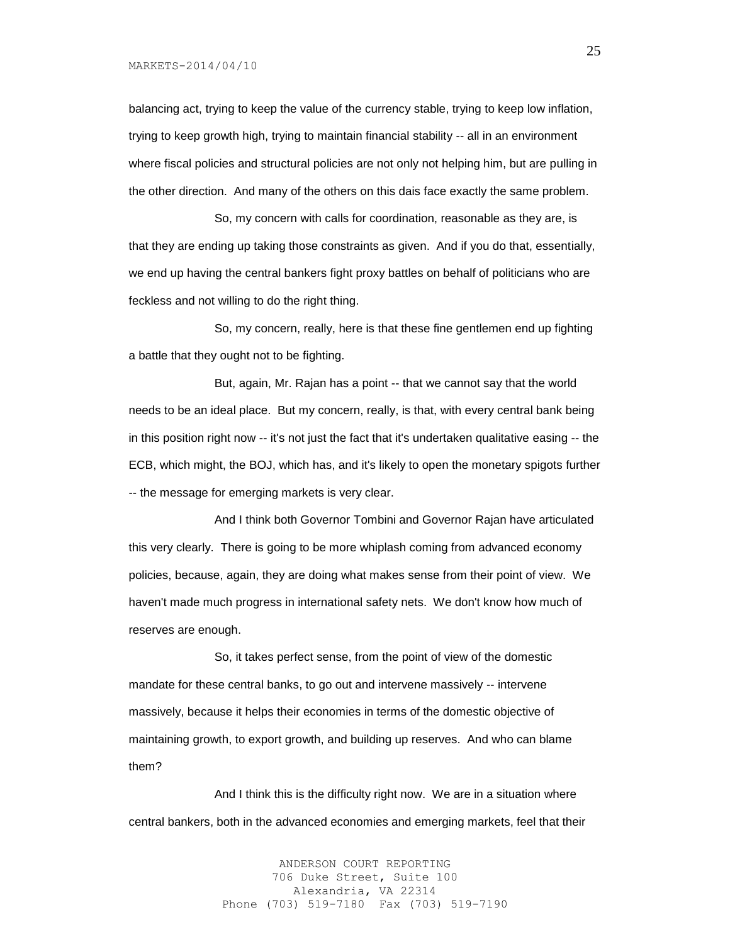balancing act, trying to keep the value of the currency stable, trying to keep low inflation, trying to keep growth high, trying to maintain financial stability -- all in an environment where fiscal policies and structural policies are not only not helping him, but are pulling in the other direction. And many of the others on this dais face exactly the same problem.

So, my concern with calls for coordination, reasonable as they are, is that they are ending up taking those constraints as given. And if you do that, essentially, we end up having the central bankers fight proxy battles on behalf of politicians who are feckless and not willing to do the right thing.

So, my concern, really, here is that these fine gentlemen end up fighting a battle that they ought not to be fighting.

But, again, Mr. Rajan has a point -- that we cannot say that the world needs to be an ideal place. But my concern, really, is that, with every central bank being in this position right now -- it's not just the fact that it's undertaken qualitative easing -- the ECB, which might, the BOJ, which has, and it's likely to open the monetary spigots further -- the message for emerging markets is very clear.

And I think both Governor Tombini and Governor Rajan have articulated this very clearly. There is going to be more whiplash coming from advanced economy policies, because, again, they are doing what makes sense from their point of view. We haven't made much progress in international safety nets. We don't know how much of reserves are enough.

So, it takes perfect sense, from the point of view of the domestic mandate for these central banks, to go out and intervene massively -- intervene massively, because it helps their economies in terms of the domestic objective of maintaining growth, to export growth, and building up reserves. And who can blame them?

And I think this is the difficulty right now. We are in a situation where central bankers, both in the advanced economies and emerging markets, feel that their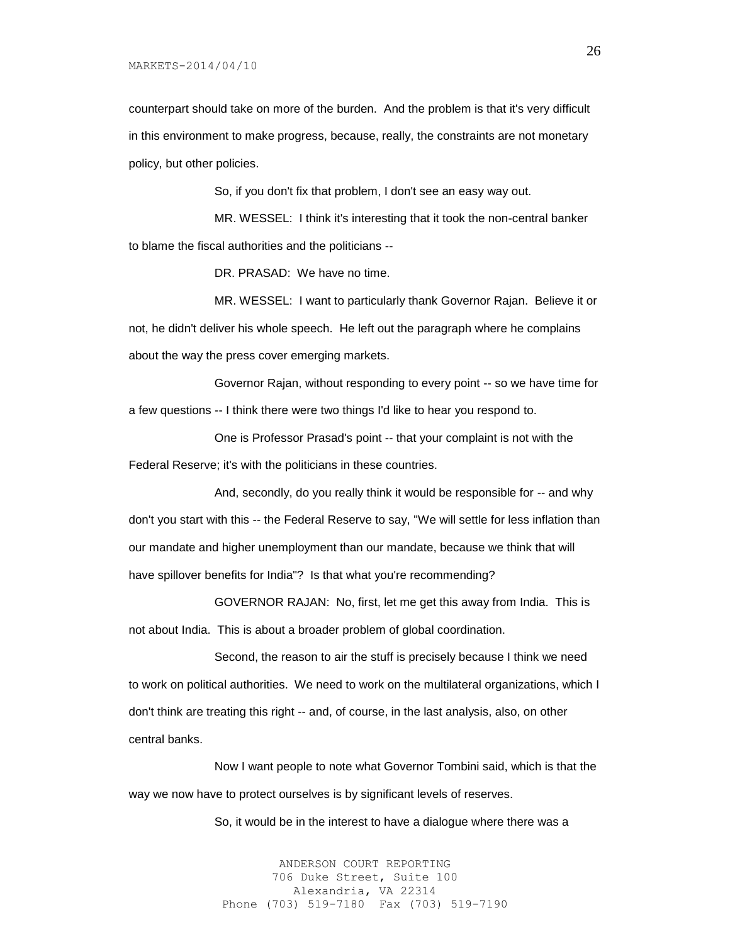MARKETS-2014/04/10

counterpart should take on more of the burden. And the problem is that it's very difficult in this environment to make progress, because, really, the constraints are not monetary policy, but other policies.

So, if you don't fix that problem, I don't see an easy way out.

MR. WESSEL: I think it's interesting that it took the non-central banker to blame the fiscal authorities and the politicians --

DR. PRASAD: We have no time.

MR. WESSEL: I want to particularly thank Governor Rajan. Believe it or not, he didn't deliver his whole speech. He left out the paragraph where he complains about the way the press cover emerging markets.

Governor Rajan, without responding to every point -- so we have time for a few questions -- I think there were two things I'd like to hear you respond to.

One is Professor Prasad's point -- that your complaint is not with the Federal Reserve; it's with the politicians in these countries.

And, secondly, do you really think it would be responsible for -- and why don't you start with this -- the Federal Reserve to say, "We will settle for less inflation than our mandate and higher unemployment than our mandate, because we think that will have spillover benefits for India"? Is that what you're recommending?

GOVERNOR RAJAN: No, first, let me get this away from India. This is not about India. This is about a broader problem of global coordination.

Second, the reason to air the stuff is precisely because I think we need to work on political authorities. We need to work on the multilateral organizations, which I don't think are treating this right -- and, of course, in the last analysis, also, on other central banks.

Now I want people to note what Governor Tombini said, which is that the way we now have to protect ourselves is by significant levels of reserves.

So, it would be in the interest to have a dialogue where there was a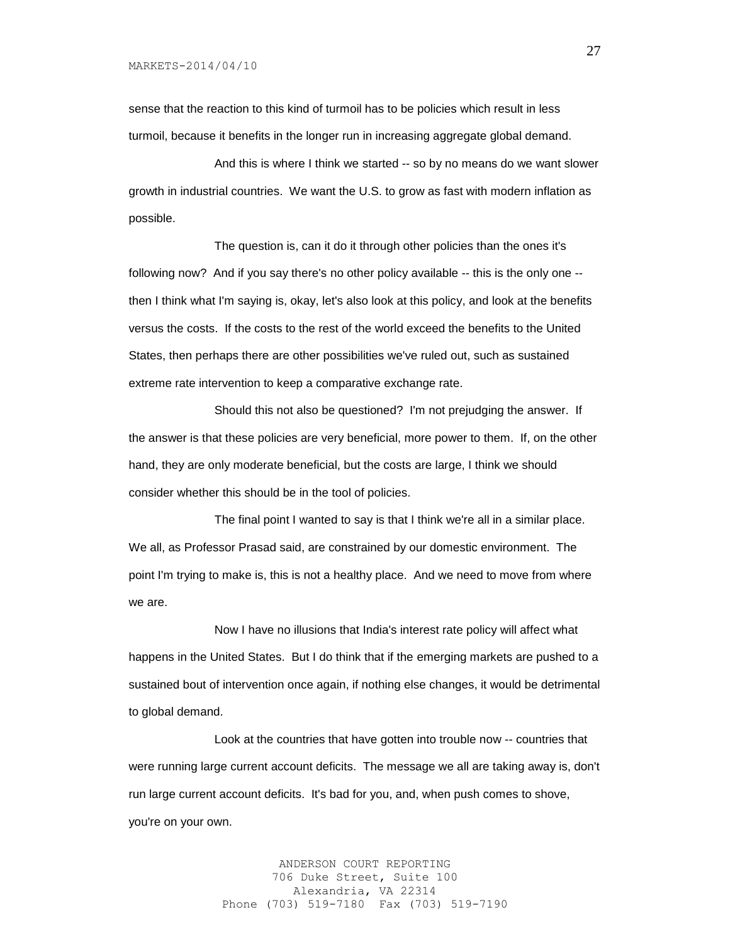sense that the reaction to this kind of turmoil has to be policies which result in less turmoil, because it benefits in the longer run in increasing aggregate global demand.

And this is where I think we started -- so by no means do we want slower growth in industrial countries. We want the U.S. to grow as fast with modern inflation as possible.

The question is, can it do it through other policies than the ones it's following now? And if you say there's no other policy available -- this is the only one - then I think what I'm saying is, okay, let's also look at this policy, and look at the benefits versus the costs. If the costs to the rest of the world exceed the benefits to the United States, then perhaps there are other possibilities we've ruled out, such as sustained extreme rate intervention to keep a comparative exchange rate.

Should this not also be questioned? I'm not prejudging the answer. If the answer is that these policies are very beneficial, more power to them. If, on the other hand, they are only moderate beneficial, but the costs are large, I think we should consider whether this should be in the tool of policies.

The final point I wanted to say is that I think we're all in a similar place. We all, as Professor Prasad said, are constrained by our domestic environment. The point I'm trying to make is, this is not a healthy place. And we need to move from where we are.

Now I have no illusions that India's interest rate policy will affect what happens in the United States. But I do think that if the emerging markets are pushed to a sustained bout of intervention once again, if nothing else changes, it would be detrimental to global demand.

Look at the countries that have gotten into trouble now -- countries that were running large current account deficits. The message we all are taking away is, don't run large current account deficits. It's bad for you, and, when push comes to shove, you're on your own.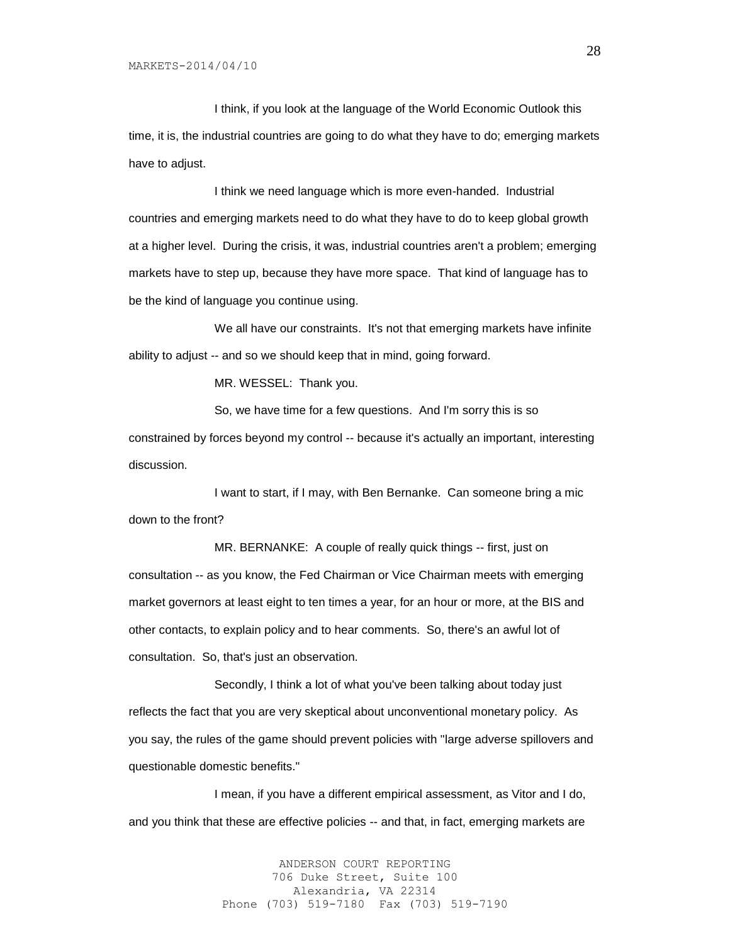I think, if you look at the language of the World Economic Outlook this time, it is, the industrial countries are going to do what they have to do; emerging markets have to adjust.

I think we need language which is more even-handed. Industrial countries and emerging markets need to do what they have to do to keep global growth at a higher level. During the crisis, it was, industrial countries aren't a problem; emerging markets have to step up, because they have more space. That kind of language has to be the kind of language you continue using.

We all have our constraints. It's not that emerging markets have infinite ability to adjust -- and so we should keep that in mind, going forward.

MR. WESSEL: Thank you.

So, we have time for a few questions. And I'm sorry this is so constrained by forces beyond my control -- because it's actually an important, interesting discussion.

I want to start, if I may, with Ben Bernanke. Can someone bring a mic down to the front?

MR. BERNANKE: A couple of really quick things -- first, just on consultation -- as you know, the Fed Chairman or Vice Chairman meets with emerging market governors at least eight to ten times a year, for an hour or more, at the BIS and other contacts, to explain policy and to hear comments. So, there's an awful lot of consultation. So, that's just an observation.

Secondly, I think a lot of what you've been talking about today just reflects the fact that you are very skeptical about unconventional monetary policy. As you say, the rules of the game should prevent policies with "large adverse spillovers and questionable domestic benefits."

I mean, if you have a different empirical assessment, as Vitor and I do, and you think that these are effective policies -- and that, in fact, emerging markets are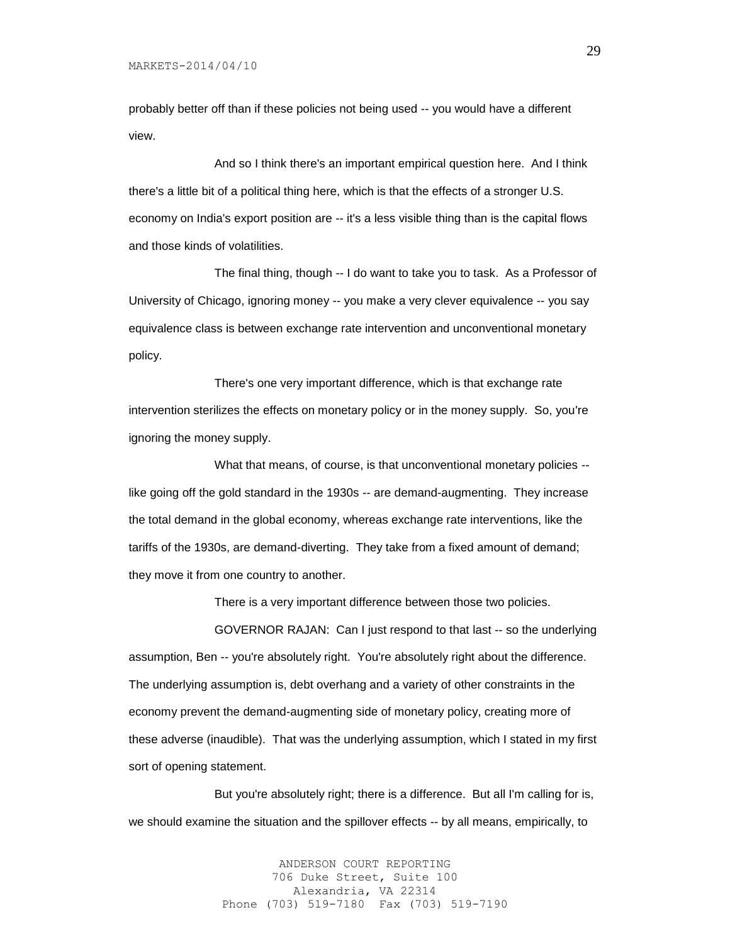probably better off than if these policies not being used -- you would have a different view.

And so I think there's an important empirical question here. And I think there's a little bit of a political thing here, which is that the effects of a stronger U.S. economy on India's export position are -- it's a less visible thing than is the capital flows and those kinds of volatilities.

The final thing, though -- I do want to take you to task. As a Professor of University of Chicago, ignoring money -- you make a very clever equivalence -- you say equivalence class is between exchange rate intervention and unconventional monetary policy.

There's one very important difference, which is that exchange rate intervention sterilizes the effects on monetary policy or in the money supply. So, you're ignoring the money supply.

What that means, of course, is that unconventional monetary policies -like going off the gold standard in the 1930s -- are demand-augmenting. They increase the total demand in the global economy, whereas exchange rate interventions, like the tariffs of the 1930s, are demand-diverting. They take from a fixed amount of demand; they move it from one country to another.

There is a very important difference between those two policies.

GOVERNOR RAJAN: Can I just respond to that last -- so the underlying assumption, Ben -- you're absolutely right. You're absolutely right about the difference. The underlying assumption is, debt overhang and a variety of other constraints in the economy prevent the demand-augmenting side of monetary policy, creating more of these adverse (inaudible). That was the underlying assumption, which I stated in my first sort of opening statement.

But you're absolutely right; there is a difference. But all I'm calling for is, we should examine the situation and the spillover effects -- by all means, empirically, to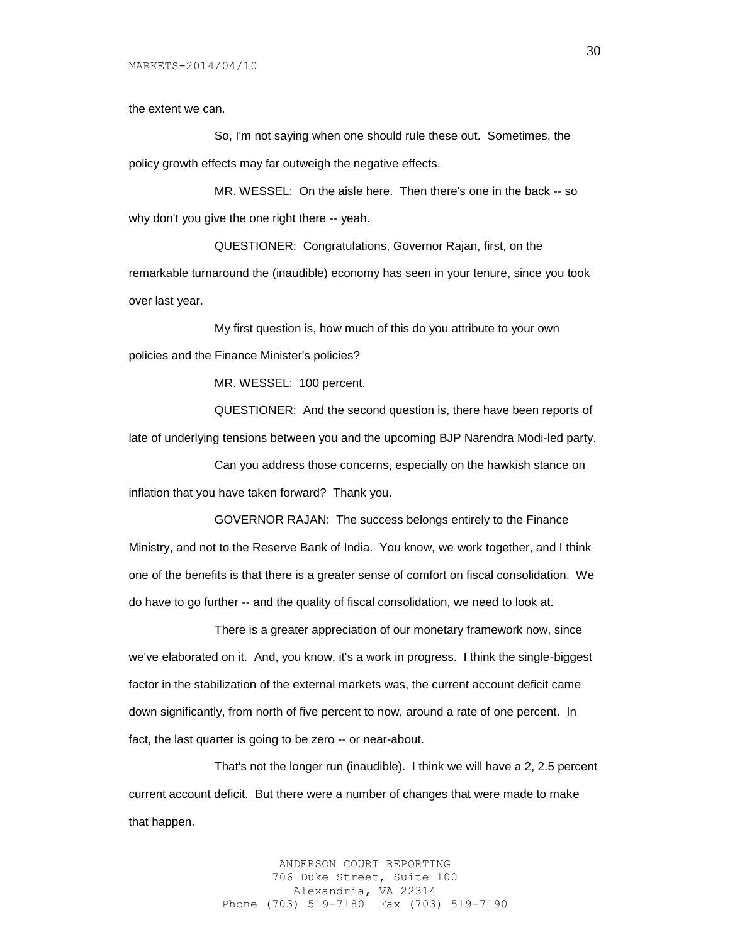the extent we can.

So, I'm not saying when one should rule these out. Sometimes, the policy growth effects may far outweigh the negative effects.

MR. WESSEL: On the aisle here. Then there's one in the back -- so why don't you give the one right there -- yeah.

QUESTIONER: Congratulations, Governor Rajan, first, on the remarkable turnaround the (inaudible) economy has seen in your tenure, since you took over last year.

My first question is, how much of this do you attribute to your own policies and the Finance Minister's policies?

MR. WESSEL: 100 percent.

QUESTIONER: And the second question is, there have been reports of late of underlying tensions between you and the upcoming BJP Narendra Modi-led party.

Can you address those concerns, especially on the hawkish stance on inflation that you have taken forward? Thank you.

GOVERNOR RAJAN: The success belongs entirely to the Finance Ministry, and not to the Reserve Bank of India. You know, we work together, and I think one of the benefits is that there is a greater sense of comfort on fiscal consolidation. We do have to go further -- and the quality of fiscal consolidation, we need to look at.

There is a greater appreciation of our monetary framework now, since we've elaborated on it. And, you know, it's a work in progress. I think the single-biggest factor in the stabilization of the external markets was, the current account deficit came down significantly, from north of five percent to now, around a rate of one percent. In fact, the last quarter is going to be zero -- or near-about.

That's not the longer run (inaudible). I think we will have a 2, 2.5 percent current account deficit. But there were a number of changes that were made to make that happen.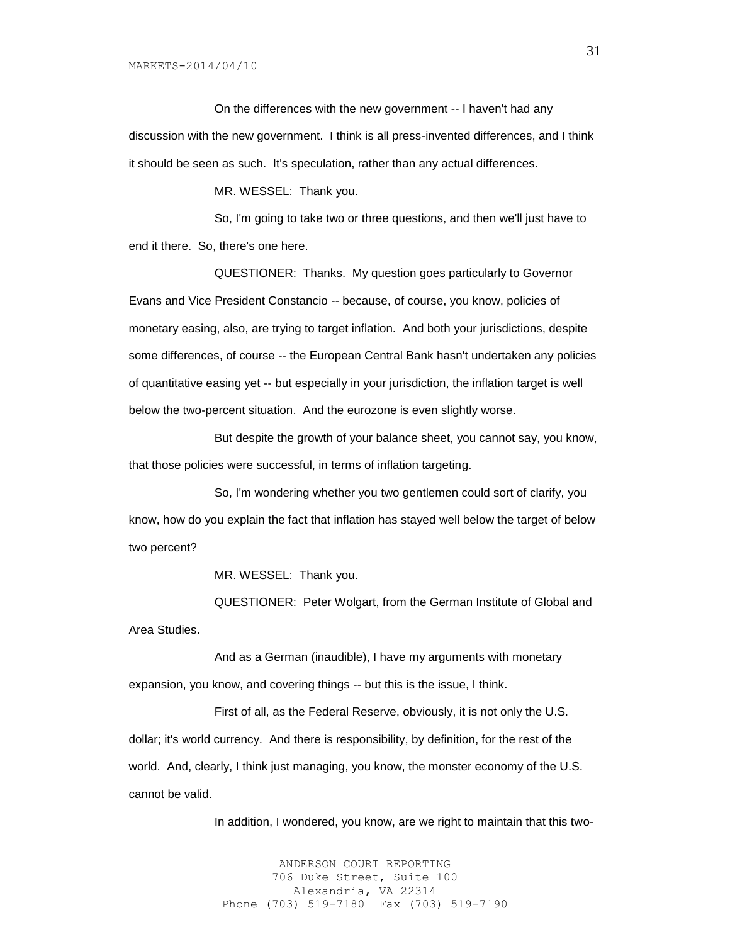MARKETS-2014/04/10

On the differences with the new government -- I haven't had any discussion with the new government. I think is all press-invented differences, and I think it should be seen as such. It's speculation, rather than any actual differences.

MR. WESSEL: Thank you.

So, I'm going to take two or three questions, and then we'll just have to end it there. So, there's one here.

QUESTIONER: Thanks. My question goes particularly to Governor Evans and Vice President Constancio -- because, of course, you know, policies of monetary easing, also, are trying to target inflation. And both your jurisdictions, despite some differences, of course -- the European Central Bank hasn't undertaken any policies of quantitative easing yet -- but especially in your jurisdiction, the inflation target is well below the two-percent situation. And the eurozone is even slightly worse.

But despite the growth of your balance sheet, you cannot say, you know, that those policies were successful, in terms of inflation targeting.

So, I'm wondering whether you two gentlemen could sort of clarify, you know, how do you explain the fact that inflation has stayed well below the target of below two percent?

MR. WESSEL: Thank you.

QUESTIONER: Peter Wolgart, from the German Institute of Global and Area Studies.

And as a German (inaudible), I have my arguments with monetary expansion, you know, and covering things -- but this is the issue, I think.

First of all, as the Federal Reserve, obviously, it is not only the U.S. dollar; it's world currency. And there is responsibility, by definition, for the rest of the world. And, clearly, I think just managing, you know, the monster economy of the U.S. cannot be valid.

In addition, I wondered, you know, are we right to maintain that this two-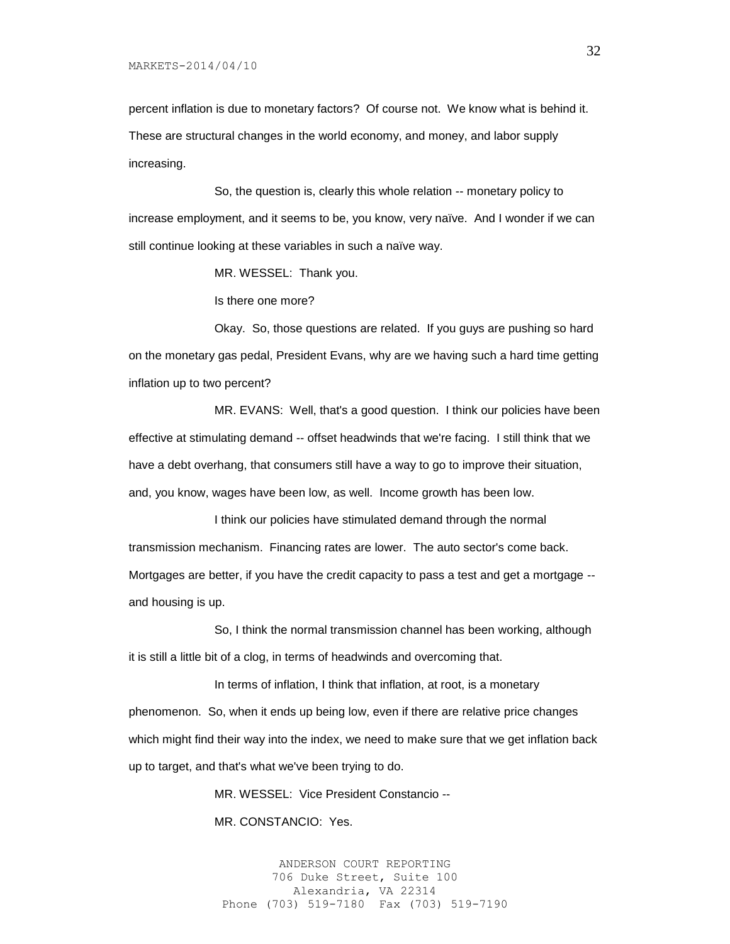percent inflation is due to monetary factors? Of course not. We know what is behind it. These are structural changes in the world economy, and money, and labor supply increasing.

So, the question is, clearly this whole relation -- monetary policy to increase employment, and it seems to be, you know, very naïve. And I wonder if we can still continue looking at these variables in such a naïve way.

MR. WESSEL: Thank you.

Is there one more?

Okay. So, those questions are related. If you guys are pushing so hard on the monetary gas pedal, President Evans, why are we having such a hard time getting inflation up to two percent?

MR. EVANS: Well, that's a good question. I think our policies have been effective at stimulating demand -- offset headwinds that we're facing. I still think that we have a debt overhang, that consumers still have a way to go to improve their situation, and, you know, wages have been low, as well. Income growth has been low.

I think our policies have stimulated demand through the normal transmission mechanism. Financing rates are lower. The auto sector's come back. Mortgages are better, if you have the credit capacity to pass a test and get a mortgage - and housing is up.

So, I think the normal transmission channel has been working, although it is still a little bit of a clog, in terms of headwinds and overcoming that.

In terms of inflation, I think that inflation, at root, is a monetary phenomenon. So, when it ends up being low, even if there are relative price changes which might find their way into the index, we need to make sure that we get inflation back up to target, and that's what we've been trying to do.

MR. WESSEL: Vice President Constancio --

MR. CONSTANCIO: Yes.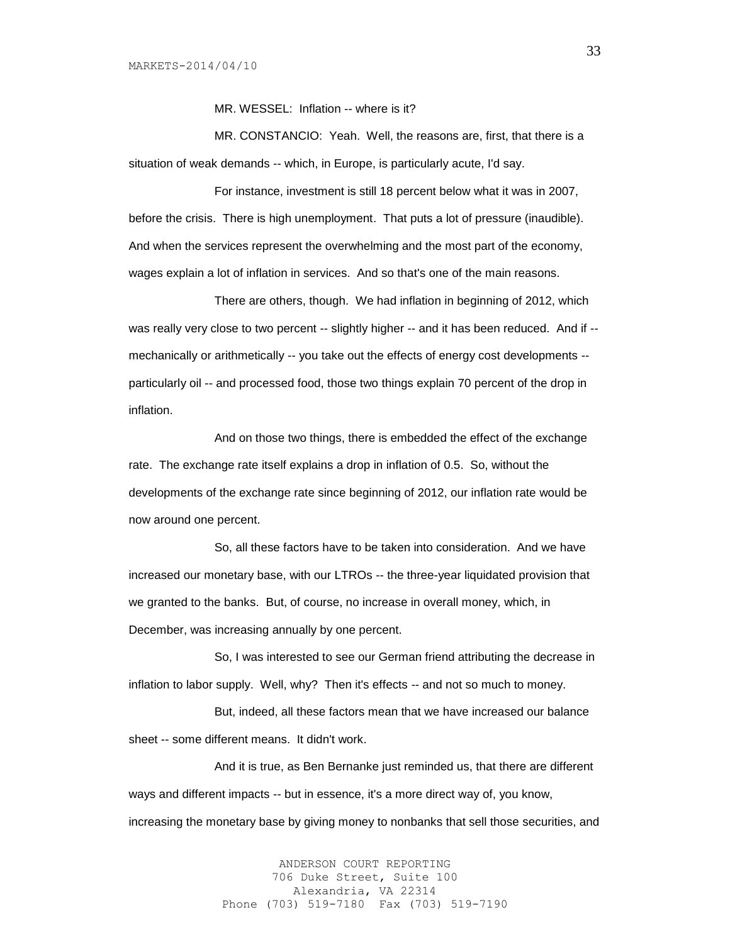MR. WESSEL: Inflation -- where is it?

MR. CONSTANCIO: Yeah. Well, the reasons are, first, that there is a situation of weak demands -- which, in Europe, is particularly acute, I'd say.

For instance, investment is still 18 percent below what it was in 2007, before the crisis. There is high unemployment. That puts a lot of pressure (inaudible). And when the services represent the overwhelming and the most part of the economy, wages explain a lot of inflation in services. And so that's one of the main reasons.

There are others, though. We had inflation in beginning of 2012, which was really very close to two percent -- slightly higher -- and it has been reduced. And if -mechanically or arithmetically -- you take out the effects of energy cost developments - particularly oil -- and processed food, those two things explain 70 percent of the drop in inflation.

And on those two things, there is embedded the effect of the exchange rate. The exchange rate itself explains a drop in inflation of 0.5. So, without the developments of the exchange rate since beginning of 2012, our inflation rate would be now around one percent.

So, all these factors have to be taken into consideration. And we have increased our monetary base, with our LTROs -- the three-year liquidated provision that we granted to the banks. But, of course, no increase in overall money, which, in December, was increasing annually by one percent.

So, I was interested to see our German friend attributing the decrease in inflation to labor supply. Well, why? Then it's effects -- and not so much to money.

But, indeed, all these factors mean that we have increased our balance sheet -- some different means. It didn't work.

And it is true, as Ben Bernanke just reminded us, that there are different ways and different impacts -- but in essence, it's a more direct way of, you know, increasing the monetary base by giving money to nonbanks that sell those securities, and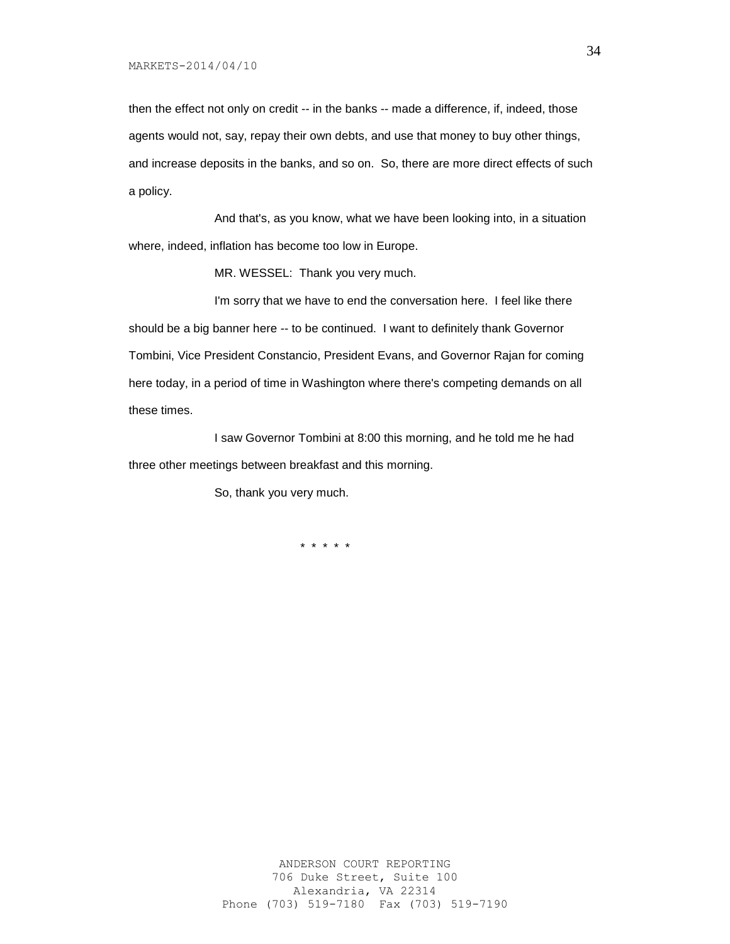then the effect not only on credit -- in the banks -- made a difference, if, indeed, those agents would not, say, repay their own debts, and use that money to buy other things, and increase deposits in the banks, and so on. So, there are more direct effects of such a policy.

And that's, as you know, what we have been looking into, in a situation where, indeed, inflation has become too low in Europe.

MR. WESSEL: Thank you very much.

I'm sorry that we have to end the conversation here. I feel like there should be a big banner here -- to be continued. I want to definitely thank Governor Tombini, Vice President Constancio, President Evans, and Governor Rajan for coming here today, in a period of time in Washington where there's competing demands on all these times.

I saw Governor Tombini at 8:00 this morning, and he told me he had three other meetings between breakfast and this morning.

So, thank you very much.

\* \* \* \* \*